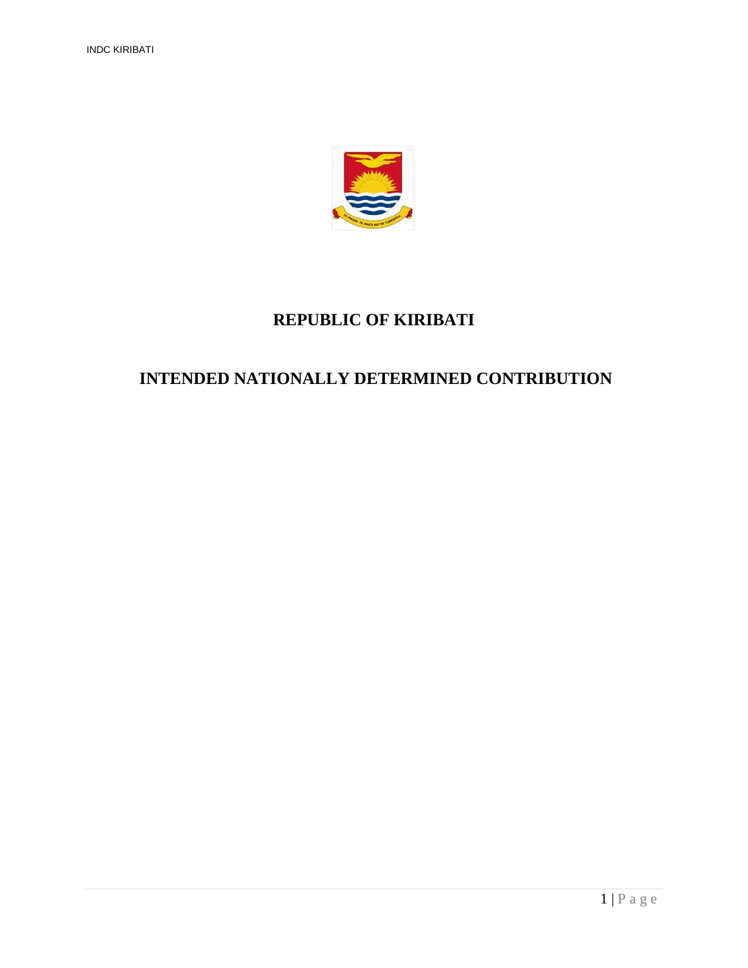

### **REPUBLIC OF KIRIBATI**

### **INTENDED NATIONALLY DETERMINED CONTRIBUTION**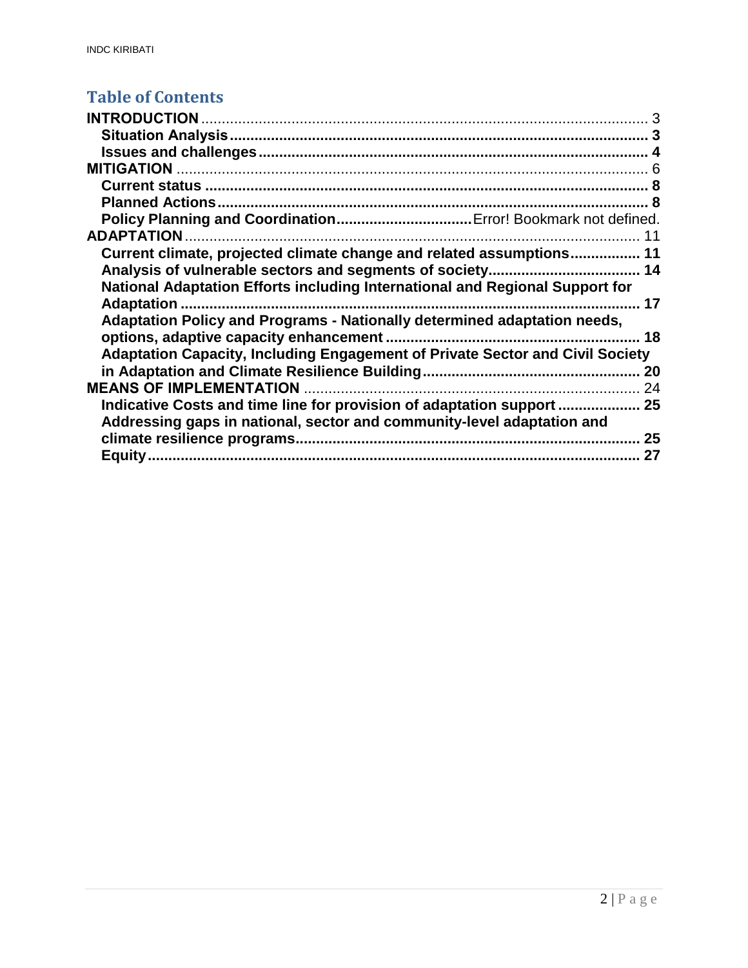## **Table of Contents**

| <b>ADAPTATION</b>                                                                    |       |
|--------------------------------------------------------------------------------------|-------|
| Current climate, projected climate change and related assumptions 11                 |       |
|                                                                                      |       |
| National Adaptation Efforts including International and Regional Support for         |       |
| Adaptation                                                                           | …… 17 |
| Adaptation Policy and Programs - Nationally determined adaptation needs,             |       |
|                                                                                      | 18    |
| <b>Adaptation Capacity, Including Engagement of Private Sector and Civil Society</b> |       |
|                                                                                      | 20    |
| <b>MEANS OF IMPLEMENTATION</b>                                                       | 24    |
|                                                                                      |       |
| Addressing gaps in national, sector and community-level adaptation and               |       |
|                                                                                      | 25    |
|                                                                                      | 27    |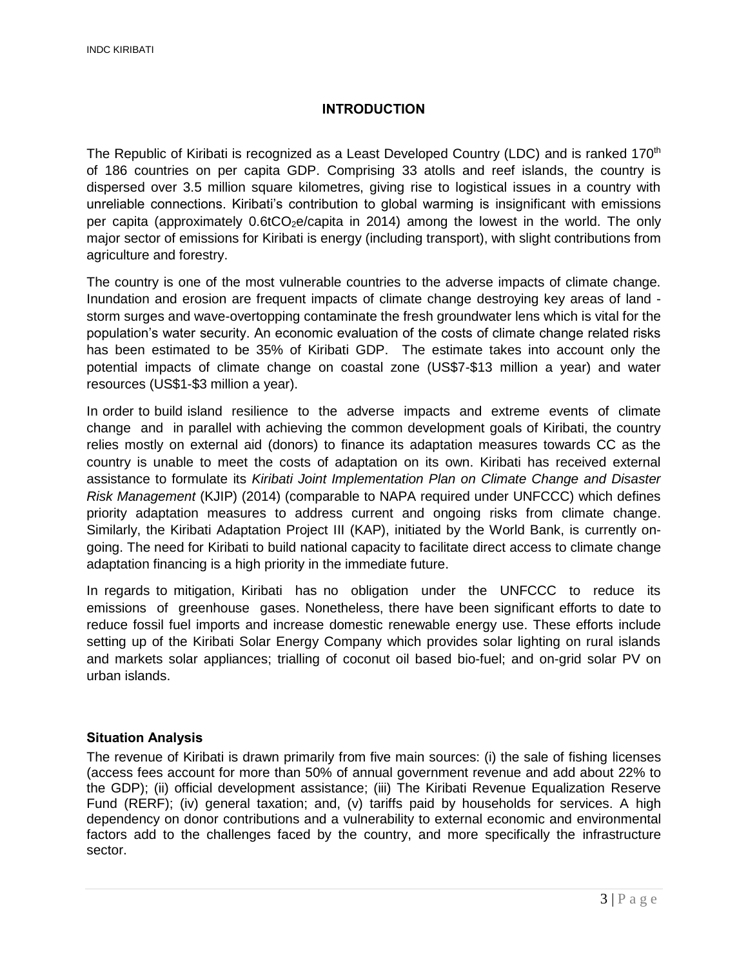#### **INTRODUCTION**

<span id="page-2-0"></span>The Republic of Kiribati is recognized as a Least Developed Country (LDC) and is ranked 170<sup>th</sup> of 186 countries on per capita GDP. Comprising 33 atolls and reef islands, the country is dispersed over 3.5 million square kilometres, giving rise to logistical issues in a country with unreliable connections. Kiribati's contribution to global warming is insignificant with emissions per capita (approximately  $0.6$ tCO<sub>2</sub>e/capita in 2014) among the lowest in the world. The only major sector of emissions for Kiribati is energy (including transport), with slight contributions from agriculture and forestry.

The country is one of the most vulnerable countries to the adverse impacts of climate change. Inundation and erosion are frequent impacts of climate change destroying key areas of land storm surges and wave-overtopping contaminate the fresh groundwater lens which is vital for the population's water security. An economic evaluation of the costs of climate change related risks has been estimated to be 35% of Kiribati GDP. The estimate takes into account only the potential impacts of climate change on coastal zone (US\$7-\$13 million a year) and water resources (US\$1-\$3 million a year).

In order to build island resilience to the adverse impacts and extreme events of climate change and in parallel with achieving the common development goals of Kiribati, the country relies mostly on external aid (donors) to finance its adaptation measures towards CC as the country is unable to meet the costs of adaptation on its own. Kiribati has received external assistance to formulate its *Kiribati Joint Implementation Plan on Climate Change and Disaster Risk Management* (KJIP) (2014) (comparable to NAPA required under UNFCCC) which defines priority adaptation measures to address current and ongoing risks from climate change. Similarly, the Kiribati Adaptation Project III (KAP), initiated by the World Bank, is currently ongoing. The need for Kiribati to build national capacity to facilitate direct access to climate change adaptation financing is a high priority in the immediate future.

In regards to mitigation, Kiribati has no obligation under the UNFCCC to reduce its emissions of greenhouse gases. Nonetheless, there have been significant efforts to date to reduce fossil fuel imports and increase domestic renewable energy use. These efforts include setting up of the Kiribati Solar Energy Company which provides solar lighting on rural islands and markets solar appliances; trialling of coconut oil based bio-fuel; and on-grid solar PV on urban islands.

#### <span id="page-2-1"></span>**Situation Analysis**

The revenue of Kiribati is drawn primarily from five main sources: (i) the sale of fishing licenses (access fees account for more than 50% of annual government revenue and add about 22% to the GDP); (ii) official development assistance; (iii) The Kiribati Revenue Equalization Reserve Fund (RERF); (iv) general taxation; and, (v) tariffs paid by households for services. A high dependency on donor contributions and a vulnerability to external economic and environmental factors add to the challenges faced by the country, and more specifically the infrastructure sector.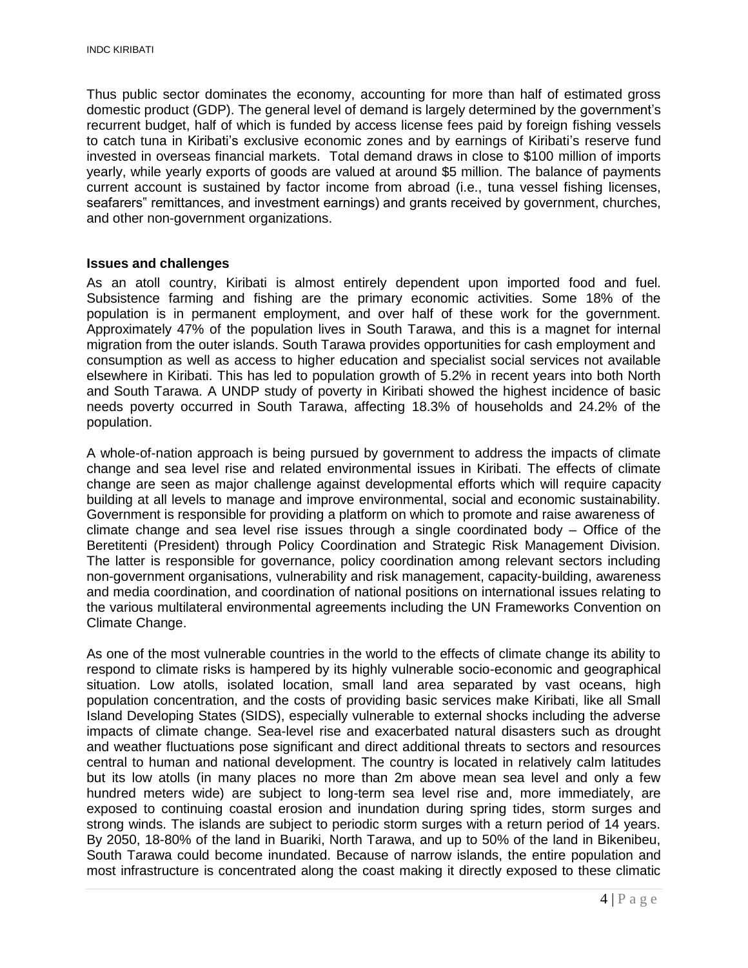Thus public sector dominates the economy, accounting for more than half of estimated gross domestic product (GDP). The general level of demand is largely determined by the government's recurrent budget, half of which is funded by access license fees paid by foreign fishing vessels to catch tuna in Kiribati's exclusive economic zones and by earnings of Kiribati's reserve fund invested in overseas financial markets. Total demand draws in close to \$100 million of imports yearly, while yearly exports of goods are valued at around \$5 million. The balance of payments current account is sustained by factor income from abroad (i.e., tuna vessel fishing licenses, seafarers" remittances, and investment earnings) and grants received by government, churches, and other non-government organizations.

#### <span id="page-3-0"></span>**Issues and challenges**

As an atoll country, Kiribati is almost entirely dependent upon imported food and fuel. Subsistence farming and fishing are the primary economic activities. Some 18% of the population is in permanent employment, and over half of these work for the government. Approximately 47% of the population lives in South Tarawa, and this is a magnet for internal migration from the outer islands. South Tarawa provides opportunities for cash employment and consumption as well as access to higher education and specialist social services not available elsewhere in Kiribati. This has led to population growth of 5.2% in recent years into both North and South Tarawa. A UNDP study of poverty in Kiribati showed the highest incidence of basic needs poverty occurred in South Tarawa, affecting 18.3% of households and 24.2% of the population.

A whole-of-nation approach is being pursued by government to address the impacts of climate change and sea level rise and related environmental issues in Kiribati. The effects of climate change are seen as major challenge against developmental efforts which will require capacity building at all levels to manage and improve environmental, social and economic sustainability. Government is responsible for providing a platform on which to promote and raise awareness of climate change and sea level rise issues through a single coordinated body – Office of the Beretitenti (President) through Policy Coordination and Strategic Risk Management Division. The latter is responsible for governance, policy coordination among relevant sectors including non-government organisations, vulnerability and risk management, capacity-building, awareness and media coordination, and coordination of national positions on international issues relating to the various multilateral environmental agreements including the UN Frameworks Convention on Climate Change.

As one of the most vulnerable countries in the world to the effects of climate change its ability to respond to climate risks is hampered by its highly vulnerable socio-economic and geographical situation. Low atolls, isolated location, small land area separated by vast oceans, high population concentration, and the costs of providing basic services make Kiribati, like all Small Island Developing States (SIDS), especially vulnerable to external shocks including the adverse impacts of climate change. Sea-level rise and exacerbated natural disasters such as drought and weather fluctuations pose significant and direct additional threats to sectors and resources central to human and national development. The country is located in relatively calm latitudes but its low atolls (in many places no more than 2m above mean sea level and only a few hundred meters wide) are subject to long-term sea level rise and, more immediately, are exposed to continuing coastal erosion and inundation during spring tides, storm surges and strong winds. The islands are subject to periodic storm surges with a return period of 14 years. By 2050, 18-80% of the land in Buariki, North Tarawa, and up to 50% of the land in Bikenibeu, South Tarawa could become inundated. Because of narrow islands, the entire population and most infrastructure is concentrated along the coast making it directly exposed to these climatic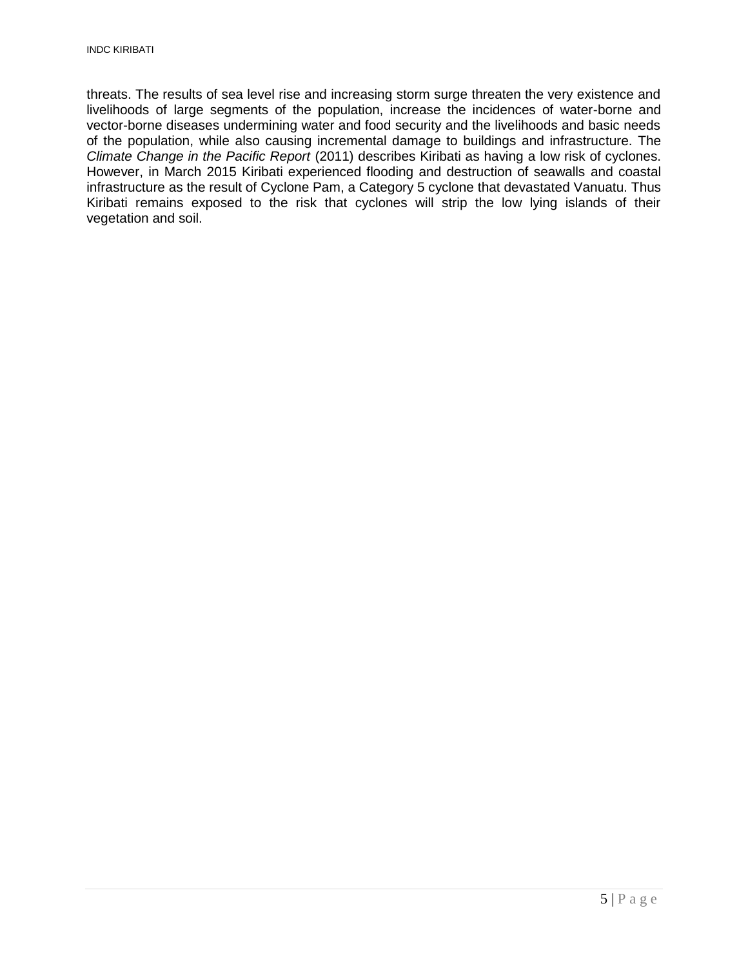threats. The results of sea level rise and increasing storm surge threaten the very existence and livelihoods of large segments of the population, increase the incidences of water-borne and vector-borne diseases undermining water and food security and the livelihoods and basic needs of the population, while also causing incremental damage to buildings and infrastructure. The *Climate Change in the Pacific Report* (2011) describes Kiribati as having a low risk of [cyclones.](https://en.wikipedia.org/wiki/Cyclones) However, in March 2015 Kiribati experienced flooding and destruction of seawalls and coastal infrastructure as the result of [Cyclone Pam,](https://en.wikipedia.org/wiki/Cyclone_Pam) a Category 5 cyclone that devastated [Vanuatu.](https://en.wikipedia.org/wiki/Vanuatu) Thus Kiribati remains exposed to the risk that cyclones will strip the low lying islands of their vegetation and soil.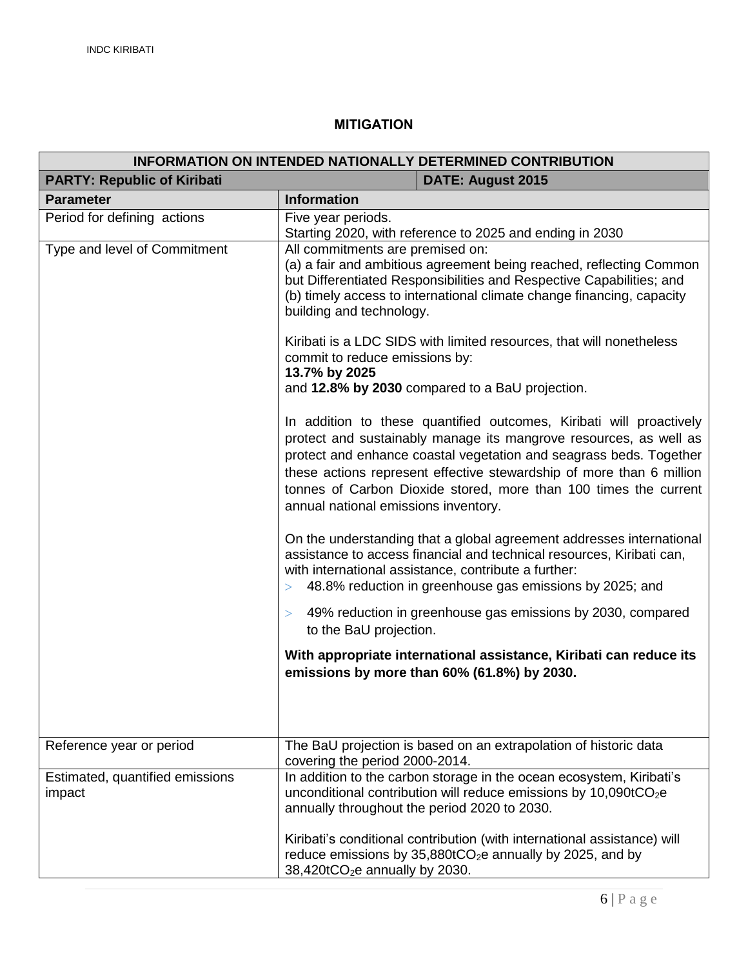### **MITIGATION**

<span id="page-5-0"></span>

| <b>INFORMATION ON INTENDED NATIONALLY DETERMINED CONTRIBUTION</b> |                                                                                                                                                                                                                                                                                                                                                                                                    |  |  |  |
|-------------------------------------------------------------------|----------------------------------------------------------------------------------------------------------------------------------------------------------------------------------------------------------------------------------------------------------------------------------------------------------------------------------------------------------------------------------------------------|--|--|--|
| <b>PARTY: Republic of Kiribati</b><br><b>DATE: August 2015</b>    |                                                                                                                                                                                                                                                                                                                                                                                                    |  |  |  |
| <b>Parameter</b>                                                  | <b>Information</b>                                                                                                                                                                                                                                                                                                                                                                                 |  |  |  |
| Period for defining actions                                       | Five year periods.<br>Starting 2020, with reference to 2025 and ending in 2030                                                                                                                                                                                                                                                                                                                     |  |  |  |
| Type and level of Commitment                                      | All commitments are premised on:<br>(a) a fair and ambitious agreement being reached, reflecting Common<br>but Differentiated Responsibilities and Respective Capabilities; and<br>(b) timely access to international climate change financing, capacity<br>building and technology.                                                                                                               |  |  |  |
|                                                                   | Kiribati is a LDC SIDS with limited resources, that will nonetheless<br>commit to reduce emissions by:<br>13.7% by 2025<br>and 12.8% by 2030 compared to a BaU projection.                                                                                                                                                                                                                         |  |  |  |
|                                                                   | In addition to these quantified outcomes, Kiribati will proactively<br>protect and sustainably manage its mangrove resources, as well as<br>protect and enhance coastal vegetation and seagrass beds. Together<br>these actions represent effective stewardship of more than 6 million<br>tonnes of Carbon Dioxide stored, more than 100 times the current<br>annual national emissions inventory. |  |  |  |
|                                                                   | On the understanding that a global agreement addresses international<br>assistance to access financial and technical resources, Kiribati can,<br>with international assistance, contribute a further:<br>48.8% reduction in greenhouse gas emissions by 2025; and<br>>                                                                                                                             |  |  |  |
|                                                                   | 49% reduction in greenhouse gas emissions by 2030, compared<br>><br>to the BaU projection.                                                                                                                                                                                                                                                                                                         |  |  |  |
|                                                                   | With appropriate international assistance, Kiribati can reduce its<br>emissions by more than 60% (61.8%) by 2030.                                                                                                                                                                                                                                                                                  |  |  |  |
| Reference year or period                                          | The BaU projection is based on an extrapolation of historic data<br>covering the period 2000-2014.                                                                                                                                                                                                                                                                                                 |  |  |  |
| Estimated, quantified emissions<br>impact                         | In addition to the carbon storage in the ocean ecosystem, Kiribati's<br>unconditional contribution will reduce emissions by $10,090$ t $CO2e$<br>annually throughout the period 2020 to 2030.                                                                                                                                                                                                      |  |  |  |
|                                                                   | Kiribati's conditional contribution (with international assistance) will<br>reduce emissions by 35,880tCO <sub>2</sub> e annually by 2025, and by<br>38,420tCO <sub>2</sub> e annually by 2030.                                                                                                                                                                                                    |  |  |  |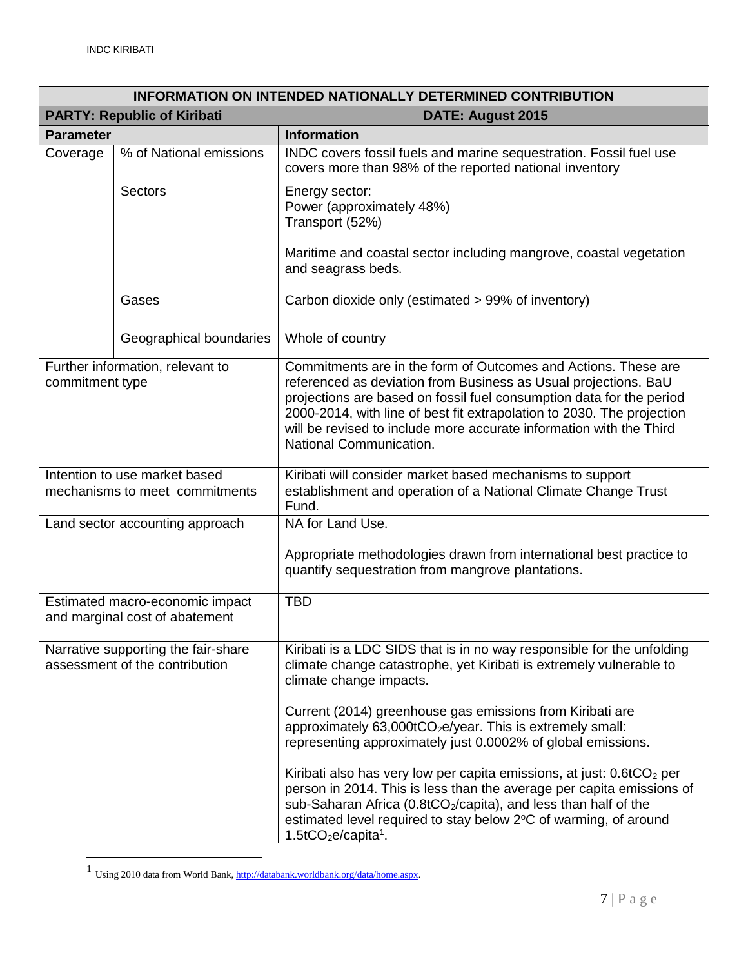| <b>INFORMATION ON INTENDED NATIONALLY DETERMINED CONTRIBUTION</b>     |                                 |                                                                                                                                                                                                                                                                                                                                                                                                                                                                                                                                                                                                                   |  |
|-----------------------------------------------------------------------|---------------------------------|-------------------------------------------------------------------------------------------------------------------------------------------------------------------------------------------------------------------------------------------------------------------------------------------------------------------------------------------------------------------------------------------------------------------------------------------------------------------------------------------------------------------------------------------------------------------------------------------------------------------|--|
| <b>PARTY: Republic of Kiribati</b><br><b>DATE: August 2015</b>        |                                 |                                                                                                                                                                                                                                                                                                                                                                                                                                                                                                                                                                                                                   |  |
| <b>Parameter</b>                                                      |                                 | <b>Information</b>                                                                                                                                                                                                                                                                                                                                                                                                                                                                                                                                                                                                |  |
| Coverage                                                              | % of National emissions         | INDC covers fossil fuels and marine sequestration. Fossil fuel use<br>covers more than 98% of the reported national inventory                                                                                                                                                                                                                                                                                                                                                                                                                                                                                     |  |
|                                                                       | <b>Sectors</b>                  | Energy sector:<br>Power (approximately 48%)<br>Transport (52%)<br>Maritime and coastal sector including mangrove, coastal vegetation<br>and seagrass beds.                                                                                                                                                                                                                                                                                                                                                                                                                                                        |  |
|                                                                       | Gases                           | Carbon dioxide only (estimated > 99% of inventory)                                                                                                                                                                                                                                                                                                                                                                                                                                                                                                                                                                |  |
|                                                                       | Geographical boundaries         | Whole of country                                                                                                                                                                                                                                                                                                                                                                                                                                                                                                                                                                                                  |  |
| Further information, relevant to<br>commitment type                   |                                 | Commitments are in the form of Outcomes and Actions. These are<br>referenced as deviation from Business as Usual projections. BaU<br>projections are based on fossil fuel consumption data for the period<br>2000-2014, with line of best fit extrapolation to 2030. The projection<br>will be revised to include more accurate information with the Third<br>National Communication.                                                                                                                                                                                                                             |  |
| Intention to use market based<br>mechanisms to meet commitments       |                                 | Kiribati will consider market based mechanisms to support<br>establishment and operation of a National Climate Change Trust<br>Fund.                                                                                                                                                                                                                                                                                                                                                                                                                                                                              |  |
|                                                                       | Land sector accounting approach | NA for Land Use.                                                                                                                                                                                                                                                                                                                                                                                                                                                                                                                                                                                                  |  |
|                                                                       |                                 | Appropriate methodologies drawn from international best practice to<br>quantify sequestration from mangrove plantations.                                                                                                                                                                                                                                                                                                                                                                                                                                                                                          |  |
| Estimated macro-economic impact<br>and marginal cost of abatement     |                                 | <b>TBD</b>                                                                                                                                                                                                                                                                                                                                                                                                                                                                                                                                                                                                        |  |
| Narrative supporting the fair-share<br>assessment of the contribution |                                 | Kiribati is a LDC SIDS that is in no way responsible for the unfolding<br>climate change catastrophe, yet Kiribati is extremely vulnerable to<br>climate change impacts.<br>Current (2014) greenhouse gas emissions from Kiribati are<br>approximately 63,000tCO <sub>2</sub> e/year. This is extremely small:<br>representing approximately just 0.0002% of global emissions.<br>Kiribati also has very low per capita emissions, at just: $0.6tCO2$ per<br>person in 2014. This is less than the average per capita emissions of<br>sub-Saharan Africa (0.8tCO <sub>2</sub> /capita), and less than half of the |  |
|                                                                       |                                 | estimated level required to stay below 2°C of warming, of around<br>$1.5$ tCO <sub>2</sub> e/capita <sup>1</sup> .                                                                                                                                                                                                                                                                                                                                                                                                                                                                                                |  |

<sup>1&</sup>lt;br>Using 2010 data from World Bank[, http://databank.worldbank.org/data/home.aspx.](http://databank.worldbank.org/data/home.aspx)

 $\overline{a}$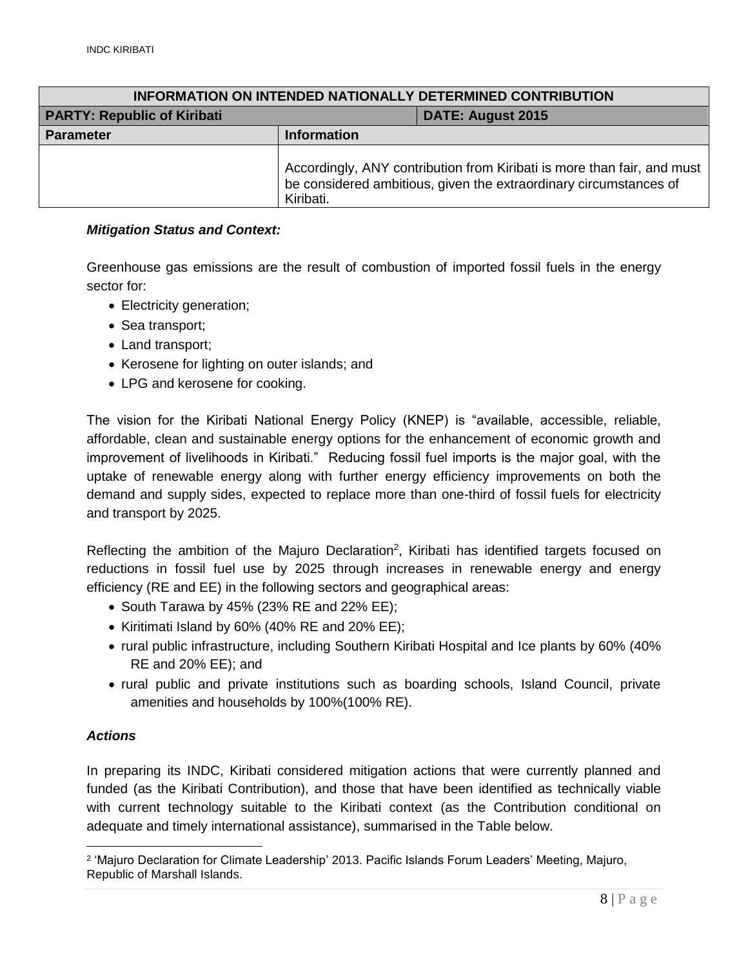| <b>INFORMATION ON INTENDED NATIONALLY DETERMINED CONTRIBUTION</b> |                                                                                                                                                           |                   |  |
|-------------------------------------------------------------------|-----------------------------------------------------------------------------------------------------------------------------------------------------------|-------------------|--|
| <b>PARTY: Republic of Kiribati</b>                                |                                                                                                                                                           | DATE: August 2015 |  |
| <b>Parameter</b>                                                  | <b>Information</b>                                                                                                                                        |                   |  |
|                                                                   | Accordingly, ANY contribution from Kiribati is more than fair, and must<br>be considered ambitious, given the extraordinary circumstances of<br>Kiribati. |                   |  |

#### <span id="page-7-0"></span>*Mitigation Status and Context:*

Greenhouse gas emissions are the result of combustion of imported fossil fuels in the energy sector for:

- Electricity generation;
- Sea transport;
- Land transport:
- Kerosene for lighting on outer islands; and
- LPG and kerosene for cooking.

The vision for the Kiribati National Energy Policy (KNEP) is "available, accessible, reliable, affordable, clean and sustainable energy options for the enhancement of economic growth and improvement of livelihoods in Kiribati." Reducing fossil fuel imports is the major goal, with the uptake of renewable energy along with further energy efficiency improvements on both the demand and supply sides, expected to replace more than one-third of fossil fuels for electricity and transport by 2025.

Reflecting the ambition of the Majuro Declaration<sup>2</sup>, Kiribati has identified targets focused on reductions in fossil fuel use by 2025 through increases in renewable energy and energy efficiency (RE and EE) in the following sectors and geographical areas:

- $\bullet$  South Tarawa by 45% (23% RE and 22% EE);
- Kiritimati Island by 60% (40% RE and 20% EE);
- rural public infrastructure, including Southern Kiribati Hospital and Ice plants by 60% (40% RE and 20% EE); and
- rural public and private institutions such as boarding schools, Island Council, private amenities and households by 100%(100% RE).

#### <span id="page-7-1"></span>*Actions*

 $\overline{a}$ 

In preparing its INDC, Kiribati considered mitigation actions that were currently planned and funded (as the Kiribati Contribution), and those that have been identified as technically viable with current technology suitable to the Kiribati context (as the Contribution conditional on adequate and timely international assistance), summarised in the Table below.

<sup>2</sup> 'Majuro Declaration for Climate Leadership' 2013. Pacific Islands Forum Leaders' Meeting, Majuro, Republic of Marshall Islands.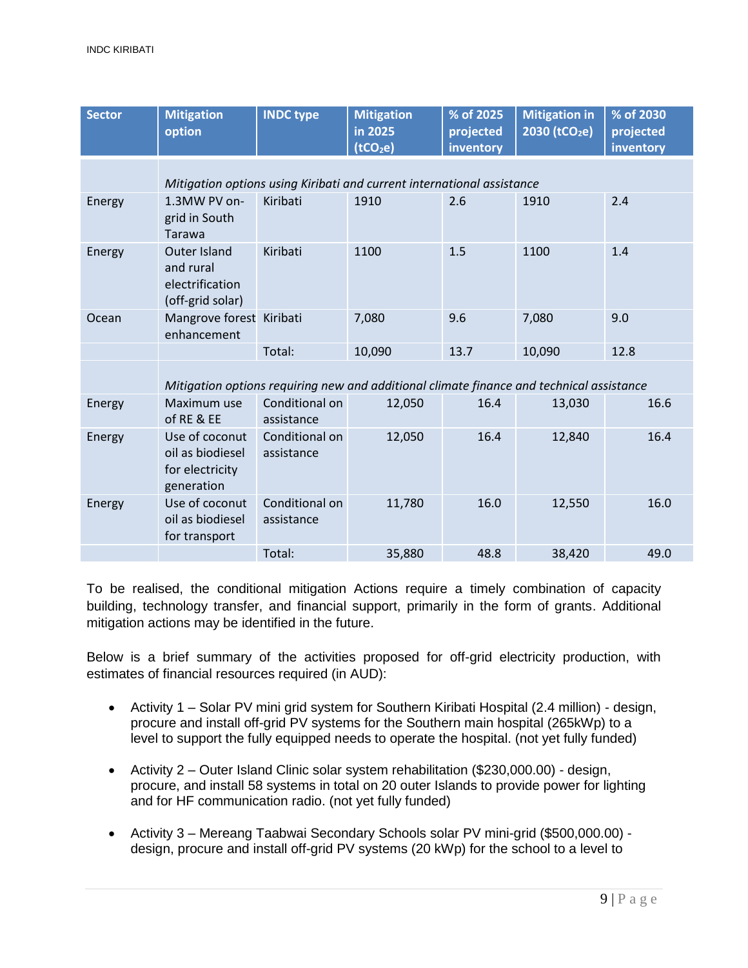| <b>Sector</b> | <b>Mitigation</b><br>option                                                              | <b>INDC type</b>             | <b>Mitigation</b><br>in 2025<br>(tCO <sub>2</sub> e) | % of 2025<br>projected<br>inventory | <b>Mitigation in</b><br>2030 (tCO <sub>2</sub> e) | % of 2030<br>projected<br>inventory |
|---------------|------------------------------------------------------------------------------------------|------------------------------|------------------------------------------------------|-------------------------------------|---------------------------------------------------|-------------------------------------|
|               | Mitigation options using Kiribati and current international assistance                   |                              |                                                      |                                     |                                                   |                                     |
| Energy        | 1.3MW PV on-<br>grid in South<br>Tarawa                                                  | Kiribati                     | 1910                                                 | 2.6                                 | 1910                                              | 2.4                                 |
| Energy        | <b>Outer Island</b><br>and rural<br>electrification<br>(off-grid solar)                  | Kiribati                     | 1100                                                 | 1.5                                 | 1100                                              | 1.4                                 |
| Ocean         | Mangrove forest Kiribati<br>enhancement                                                  |                              | 7,080                                                | 9.6                                 | 7,080                                             | 9.0                                 |
|               |                                                                                          | Total:                       | 10,090                                               | 13.7                                | 10,090                                            | 12.8                                |
|               | Mitigation options requiring new and additional climate finance and technical assistance |                              |                                                      |                                     |                                                   |                                     |
| Energy        | Maximum use<br>of RE & EE                                                                | Conditional on<br>assistance | 12,050                                               | 16.4                                | 13,030                                            | 16.6                                |
| Energy        | Use of coconut<br>oil as biodiesel<br>for electricity<br>generation                      | Conditional on<br>assistance | 12,050                                               | 16.4                                | 12,840                                            | 16.4                                |
| Energy        | Use of coconut<br>oil as biodiesel<br>for transport                                      | Conditional on<br>assistance | 11,780                                               | 16.0                                | 12,550                                            | 16.0                                |
|               |                                                                                          | Total:                       | 35,880                                               | 48.8                                | 38,420                                            | 49.0                                |

To be realised, the conditional mitigation Actions require a timely combination of capacity building, technology transfer, and financial support, primarily in the form of grants. Additional mitigation actions may be identified in the future.

Below is a brief summary of the activities proposed for off-grid electricity production, with estimates of financial resources required (in AUD):

- Activity 1 Solar PV mini grid system for Southern Kiribati Hospital (2.4 million) design, procure and install off-grid PV systems for the Southern main hospital (265kWp) to a level to support the fully equipped needs to operate the hospital. (not yet fully funded)
- Activity 2 Outer Island Clinic solar system rehabilitation (\$230,000.00) design, procure, and install 58 systems in total on 20 outer Islands to provide power for lighting and for HF communication radio. (not yet fully funded)
- Activity 3 Mereang Taabwai Secondary Schools solar PV mini-grid (\$500,000.00) design, procure and install off-grid PV systems (20 kWp) for the school to a level to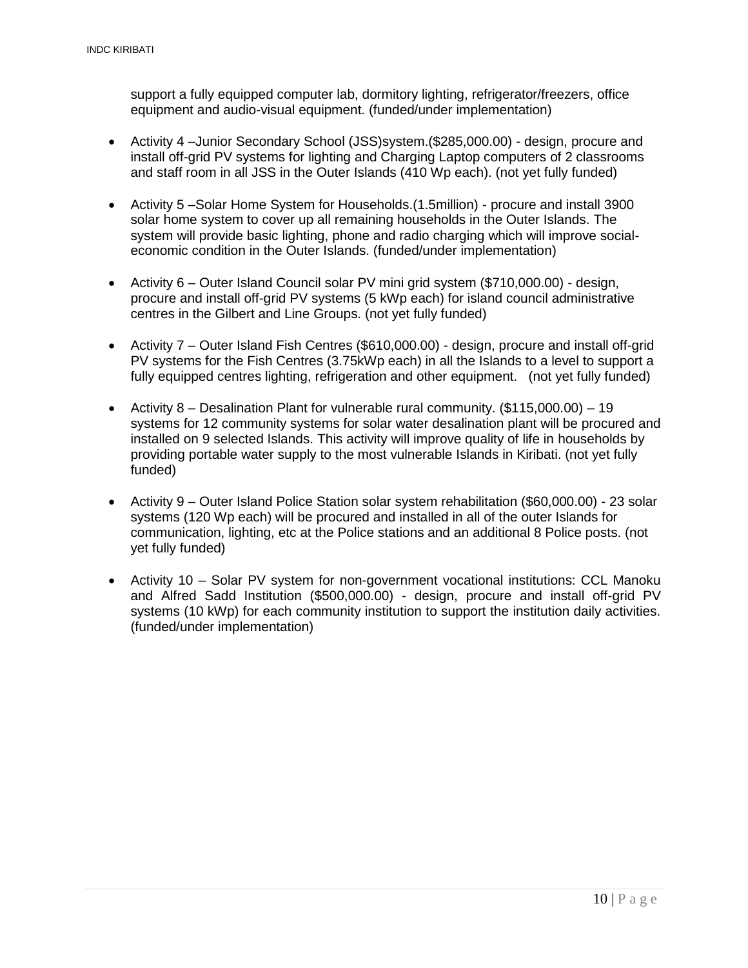support a fully equipped computer lab, dormitory lighting, refrigerator/freezers, office equipment and audio-visual equipment. (funded/under implementation)

- Activity 4 –Junior Secondary School (JSS)system.(\$285,000.00) design, procure and install off-grid PV systems for lighting and Charging Laptop computers of 2 classrooms and staff room in all JSS in the Outer Islands (410 Wp each). (not yet fully funded)
- Activity 5 –Solar Home System for Households.(1.5million) procure and install 3900 solar home system to cover up all remaining households in the Outer Islands. The system will provide basic lighting, phone and radio charging which will improve socialeconomic condition in the Outer Islands. (funded/under implementation)
- Activity 6 Outer Island Council solar PV mini grid system (\$710,000.00) design, procure and install off-grid PV systems (5 kWp each) for island council administrative centres in the Gilbert and Line Groups. (not yet fully funded)
- Activity 7 Outer Island Fish Centres (\$610,000.00) design, procure and install off-grid PV systems for the Fish Centres (3.75kWp each) in all the Islands to a level to support a fully equipped centres lighting, refrigeration and other equipment. (not yet fully funded)
- Activity 8 Desalination Plant for vulnerable rural community.  $(\$115,000.00) 19$ systems for 12 community systems for solar water desalination plant will be procured and installed on 9 selected Islands. This activity will improve quality of life in households by providing portable water supply to the most vulnerable Islands in Kiribati. (not yet fully funded)
- Activity 9 Outer Island Police Station solar system rehabilitation (\$60,000.00) 23 solar systems (120 Wp each) will be procured and installed in all of the outer Islands for communication, lighting, etc at the Police stations and an additional 8 Police posts. (not yet fully funded)
- Activity 10 Solar PV system for non-government vocational institutions: CCL Manoku and Alfred Sadd Institution (\$500,000.00) - design, procure and install off-grid PV systems (10 kWp) for each community institution to support the institution daily activities. (funded/under implementation)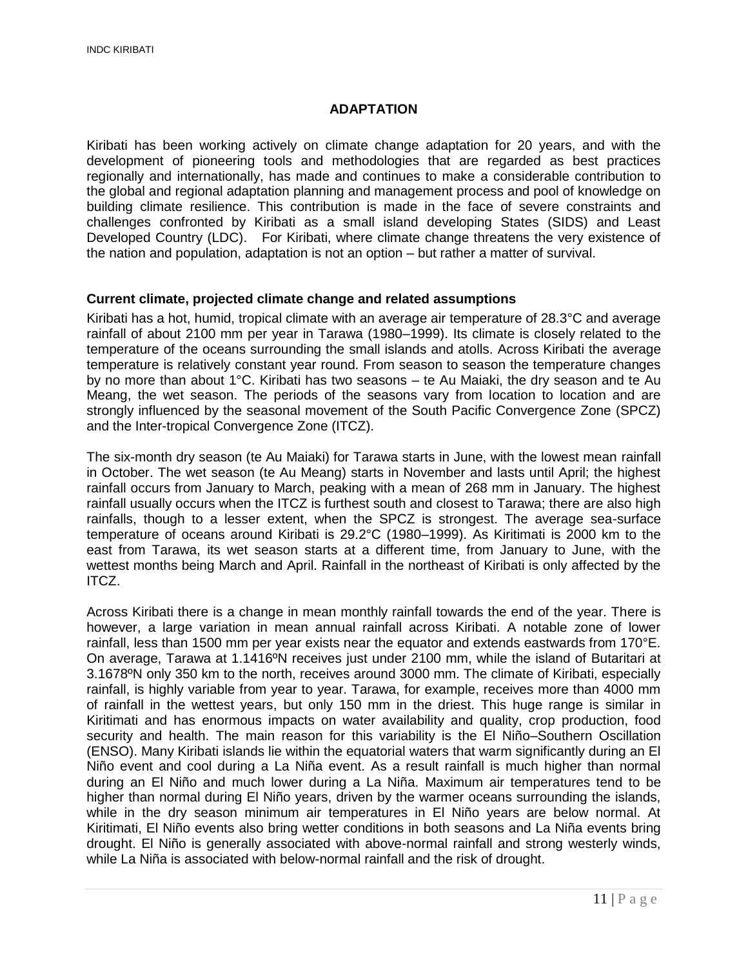#### **ADAPTATION**

<span id="page-10-0"></span>Kiribati has been working actively on climate change adaptation for 20 years, and with the development of pioneering tools and methodologies that are regarded as best practices regionally and internationally, has made and continues to make a considerable contribution to the global and regional adaptation planning and management process and pool of knowledge on building climate resilience. This contribution is made in the face of severe constraints and challenges confronted by Kiribati as a small island developing States (SIDS) and Least Developed Country (LDC). For Kiribati, where climate change threatens the very existence of the nation and population, adaptation is not an option – but rather a matter of survival.

#### <span id="page-10-1"></span>**Current climate, projected climate change and related assumptions**

Kiribati has a hot, humid, tropical climate with an average air temperature of 28.3°C and average rainfall of about 2100 mm per year in Tarawa (1980–1999). Its climate is closely related to the temperature of the oceans surrounding the small islands and atolls. Across Kiribati the average temperature is relatively constant year round. From season to season the temperature changes by no more than about 1°C. Kiribati has two seasons – te Au Maiaki, the dry season and te Au Meang, the wet season. The periods of the seasons vary from location to location and are strongly influenced by the seasonal movement of the South Pacific Convergence Zone (SPCZ) and the Inter-tropical Convergence Zone (ITCZ).

The six-month dry season (te Au Maiaki) for Tarawa starts in June, with the lowest mean rainfall in October. The wet season (te Au Meang) starts in November and lasts until April; the highest rainfall occurs from January to March, peaking with a mean of 268 mm in January. The highest rainfall usually occurs when the ITCZ is furthest south and closest to Tarawa; there are also high rainfalls, though to a lesser extent, when the SPCZ is strongest. The average sea-surface temperature of oceans around Kiribati is 29.2°C (1980–1999). As Kiritimati is 2000 km to the east from Tarawa, its wet season starts at a different time, from January to June, with the wettest months being March and April. Rainfall in the northeast of Kiribati is only affected by the ITCZ.

Across Kiribati there is a change in mean monthly rainfall towards the end of the year. There is however, a large variation in mean annual rainfall across Kiribati. A notable zone of lower rainfall, less than 1500 mm per year exists near the equator and extends eastwards from 170°E. On average, Tarawa at 1.1416ºN receives just under 2100 mm, while the island of Butaritari at 3.1678ºN only 350 km to the north, receives around 3000 mm. The climate of Kiribati, especially rainfall, is highly variable from year to year. Tarawa, for example, receives more than 4000 mm of rainfall in the wettest years, but only 150 mm in the driest. This huge range is similar in Kiritimati and has enormous impacts on water availability and quality, crop production, food security and health. The main reason for this variability is the El Niño–Southern Oscillation (ENSO). Many Kiribati islands lie within the equatorial waters that warm significantly during an El Niño event and cool during a La Niña event. As a result rainfall is much higher than normal during an El Niño and much lower during a La Niña. Maximum air temperatures tend to be higher than normal during El Niño years, driven by the warmer oceans surrounding the islands, while in the dry season minimum air temperatures in El Niño years are below normal. At Kiritimati, El Niño events also bring wetter conditions in both seasons and La Niña events bring drought. El Niño is generally associated with above-normal rainfall and strong westerly winds, while La Niña is associated with below-normal rainfall and the risk of drought.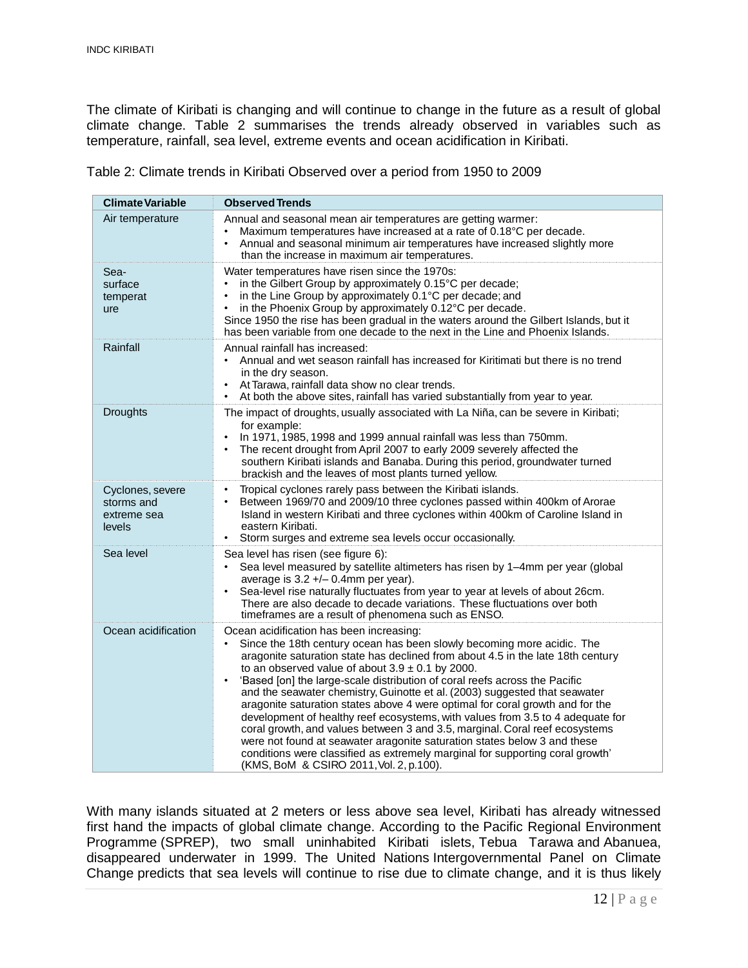The climate of Kiribati is changing and will continue to change in the future as a result of global climate change. Table 2 summarises the trends already observed in variables such as temperature, rainfall, sea level, extreme events and ocean acidification in Kiribati.

Table 2: Climate trends in Kiribati Observed over a period from 1950 to 2009

| <b>Climate Variable</b>                                 | <b>Observed Trends</b>                                                                                                                                                                                                                                                                                                                                                                                                                                                                                                                                                                                                                                                                                                                                                                                                                                                                           |
|---------------------------------------------------------|--------------------------------------------------------------------------------------------------------------------------------------------------------------------------------------------------------------------------------------------------------------------------------------------------------------------------------------------------------------------------------------------------------------------------------------------------------------------------------------------------------------------------------------------------------------------------------------------------------------------------------------------------------------------------------------------------------------------------------------------------------------------------------------------------------------------------------------------------------------------------------------------------|
| Air temperature                                         | Annual and seasonal mean air temperatures are getting warmer:<br>Maximum temperatures have increased at a rate of 0.18°C per decade.<br>$\bullet$<br>Annual and seasonal minimum air temperatures have increased slightly more<br>$\bullet$<br>than the increase in maximum air temperatures.                                                                                                                                                                                                                                                                                                                                                                                                                                                                                                                                                                                                    |
| Sea-<br>surface<br>temperat<br>ure                      | Water temperatures have risen since the 1970s:<br>in the Gilbert Group by approximately 0.15°C per decade;<br>$\bullet$<br>in the Line Group by approximately 0.1°C per decade; and<br>$\bullet$<br>in the Phoenix Group by approximately 0.12°C per decade.<br>$\bullet$<br>Since 1950 the rise has been gradual in the waters around the Gilbert Islands, but it<br>has been variable from one decade to the next in the Line and Phoenix Islands.                                                                                                                                                                                                                                                                                                                                                                                                                                             |
| Rainfall                                                | Annual rainfall has increased:<br>Annual and wet season rainfall has increased for Kiritimati but there is no trend<br>$\bullet$<br>in the dry season.<br>At Tarawa, rainfall data show no clear trends.<br>$\bullet$<br>At both the above sites, rainfall has varied substantially from year to year.<br>$\bullet$                                                                                                                                                                                                                                                                                                                                                                                                                                                                                                                                                                              |
| <b>Droughts</b>                                         | The impact of droughts, usually associated with La Niña, can be severe in Kiribati;<br>for example:<br>In 1971, 1985, 1998 and 1999 annual rainfall was less than 750mm.<br>$\bullet$<br>The recent drought from April 2007 to early 2009 severely affected the<br>southern Kiribati islands and Banaba. During this period, groundwater turned<br>brackish and the leaves of most plants turned yellow.                                                                                                                                                                                                                                                                                                                                                                                                                                                                                         |
| Cyclones, severe<br>storms and<br>extreme sea<br>levels | Tropical cyclones rarely pass between the Kiribati islands.<br>$\bullet$<br>Between 1969/70 and 2009/10 three cyclones passed within 400km of Arorae<br>Island in western Kiribati and three cyclones within 400km of Caroline Island in<br>eastern Kiribati.<br>Storm surges and extreme sea levels occur occasionally.<br>$\bullet$                                                                                                                                                                                                                                                                                                                                                                                                                                                                                                                                                            |
| Sea level                                               | Sea level has risen (see figure 6):<br>Sea level measured by satellite altimeters has risen by 1-4mm per year (global<br>$\bullet$<br>average is $3.2 +/- 0.4$ mm per year).<br>Sea-level rise naturally fluctuates from year to year at levels of about 26cm.<br>There are also decade to decade variations. These fluctuations over both<br>timeframes are a result of phenomena such as ENSO.                                                                                                                                                                                                                                                                                                                                                                                                                                                                                                 |
| Ocean acidification                                     | Ocean acidification has been increasing:<br>Since the 18th century ocean has been slowly becoming more acidic. The<br>$\bullet$<br>aragonite saturation state has declined from about 4.5 in the late 18th century<br>to an observed value of about $3.9 \pm 0.1$ by 2000.<br>'Based [on] the large-scale distribution of coral reefs across the Pacific<br>and the seawater chemistry, Guinotte et al. (2003) suggested that seawater<br>aragonite saturation states above 4 were optimal for coral growth and for the<br>development of healthy reef ecosystems, with values from 3.5 to 4 adequate for<br>coral growth, and values between 3 and 3.5, marginal. Coral reef ecosystems<br>were not found at seawater aragonite saturation states below 3 and these<br>conditions were classified as extremely marginal for supporting coral growth'<br>(KMS, BoM & CSIRO 2011, Vol. 2, p.100). |

With many islands situated at 2 meters or less above sea level, Kiribati has already witnessed first hand the impacts of global climate change. According to the Pacific Regional Environment Programme (SPREP), two small uninhabited Kiribati islets, Tebua Tarawa and Abanuea, disappeared underwater in 1999. The United Nations Intergovernmental Panel on Climate Change predicts that sea levels will continue to rise due to climate change, and it is thus likely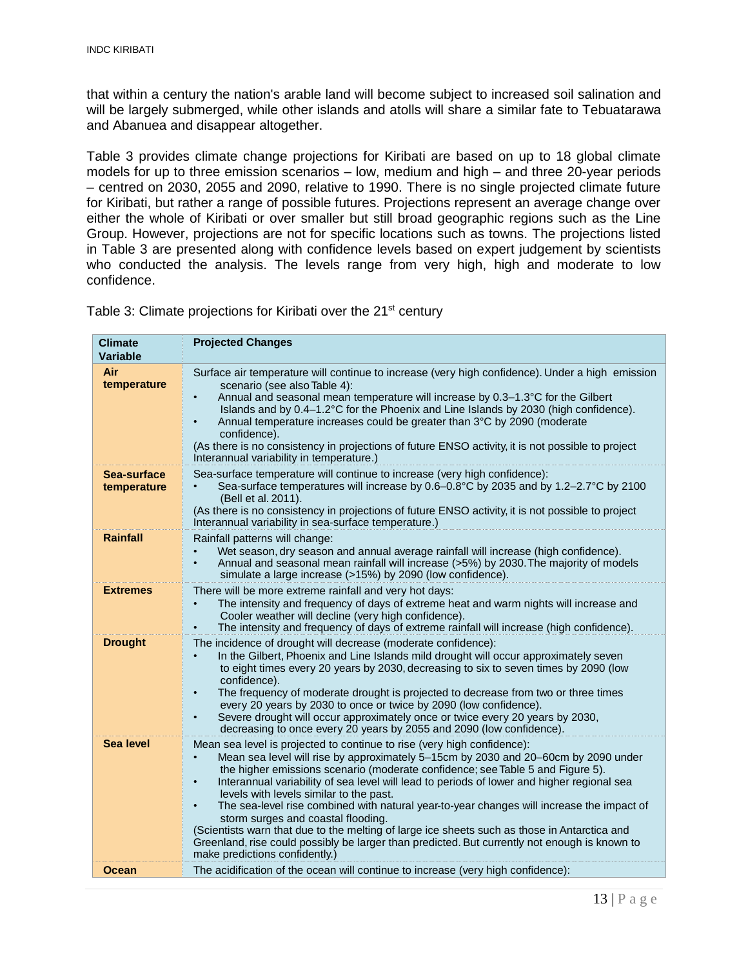that within a century the nation's arable land will become subject to increased soil salination and will be largely submerged, while other islands and atolls will share a similar fate to Tebuatarawa and Abanuea and disappear altogether.

Table 3 provides climate change projections for Kiribati are based on up to 18 global climate models for up to three emission scenarios – low, medium and high – and three 20-year periods – centred on 2030, 2055 and 2090, relative to 1990. There is no single projected climate future for Kiribati, but rather a range of possible futures. Projections represent an average change over either the whole of Kiribati or over smaller but still broad geographic regions such as the Line Group. However, projections are not for specific locations such as towns. The projections listed in Table 3 are presented along with confidence levels based on expert judgement by scientists who conducted the analysis. The levels range from very high, high and moderate to low confidence.

Table 3: Climate projections for Kiribati over the 21<sup>st</sup> century

| <b>Climate</b><br><b>Variable</b> | <b>Projected Changes</b>                                                                                                                                                                                                                                                                                                                                                                                                                                                                                                                                                                                                                                                                                                                                                                              |
|-----------------------------------|-------------------------------------------------------------------------------------------------------------------------------------------------------------------------------------------------------------------------------------------------------------------------------------------------------------------------------------------------------------------------------------------------------------------------------------------------------------------------------------------------------------------------------------------------------------------------------------------------------------------------------------------------------------------------------------------------------------------------------------------------------------------------------------------------------|
| Air<br>temperature                | Surface air temperature will continue to increase (very high confidence). Under a high emission<br>scenario (see also Table 4):<br>Annual and seasonal mean temperature will increase by 0.3–1.3°C for the Gilbert<br>$\bullet$<br>Islands and by 0.4–1.2°C for the Phoenix and Line Islands by 2030 (high confidence).<br>Annual temperature increases could be greater than 3°C by 2090 (moderate<br>$\bullet$<br>confidence).<br>(As there is no consistency in projections of future ENSO activity, it is not possible to project<br>Interannual variability in temperature.)                                                                                                                                                                                                                     |
| Sea-surface<br>temperature        | Sea-surface temperature will continue to increase (very high confidence):<br>Sea-surface temperatures will increase by 0.6–0.8°C by 2035 and by 1.2–2.7°C by 2100<br>(Bell et al. 2011).<br>(As there is no consistency in projections of future ENSO activity, it is not possible to project<br>Interannual variability in sea-surface temperature.)                                                                                                                                                                                                                                                                                                                                                                                                                                                 |
| <b>Rainfall</b>                   | Rainfall patterns will change:<br>Wet season, dry season and annual average rainfall will increase (high confidence).<br>Annual and seasonal mean rainfall will increase (>5%) by 2030. The majority of models<br>$\bullet$<br>simulate a large increase (>15%) by 2090 (low confidence).                                                                                                                                                                                                                                                                                                                                                                                                                                                                                                             |
| <b>Extremes</b>                   | There will be more extreme rainfall and very hot days:<br>The intensity and frequency of days of extreme heat and warm nights will increase and<br>Cooler weather will decline (very high confidence).<br>The intensity and frequency of days of extreme rainfall will increase (high confidence).                                                                                                                                                                                                                                                                                                                                                                                                                                                                                                    |
| <b>Drought</b>                    | The incidence of drought will decrease (moderate confidence):<br>In the Gilbert, Phoenix and Line Islands mild drought will occur approximately seven<br>to eight times every 20 years by 2030, decreasing to six to seven times by 2090 (low<br>confidence).<br>The frequency of moderate drought is projected to decrease from two or three times<br>$\bullet$<br>every 20 years by 2030 to once or twice by 2090 (low confidence).<br>Severe drought will occur approximately once or twice every 20 years by 2030,<br>$\bullet$<br>decreasing to once every 20 years by 2055 and 2090 (low confidence).                                                                                                                                                                                           |
| Sea level                         | Mean sea level is projected to continue to rise (very high confidence):<br>Mean sea level will rise by approximately 5-15cm by 2030 and 20-60cm by 2090 under<br>$\bullet$<br>the higher emissions scenario (moderate confidence; see Table 5 and Figure 5).<br>Interannual variability of sea level will lead to periods of lower and higher regional sea<br>$\bullet$<br>levels with levels similar to the past.<br>The sea-level rise combined with natural year-to-year changes will increase the impact of<br>$\bullet$<br>storm surges and coastal flooding.<br>(Scientists warn that due to the melting of large ice sheets such as those in Antarctica and<br>Greenland, rise could possibly be larger than predicted. But currently not enough is known to<br>make predictions confidently.) |
| Ocean                             | The acidification of the ocean will continue to increase (very high confidence):                                                                                                                                                                                                                                                                                                                                                                                                                                                                                                                                                                                                                                                                                                                      |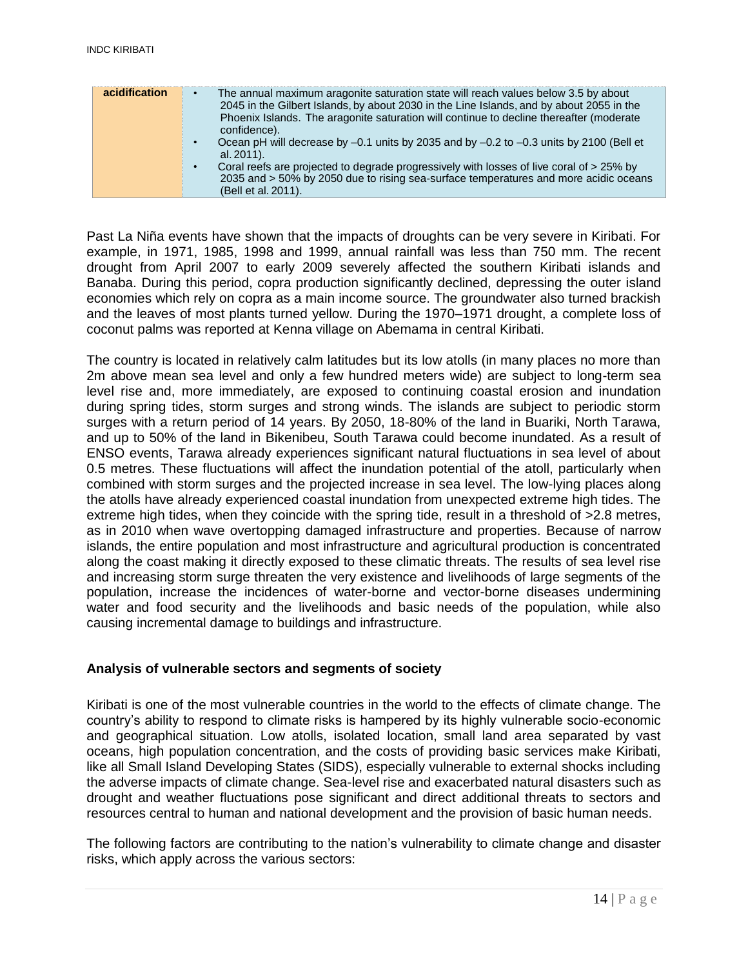| acidification | The annual maximum aragonite saturation state will reach values below 3.5 by about<br>2045 in the Gilbert Islands, by about 2030 in the Line Islands, and by about 2055 in the<br>Phoenix Islands. The aragonite saturation will continue to decline thereafter (moderate<br>confidence).<br>Ocean pH will decrease by -0.1 units by 2035 and by -0.2 to -0.3 units by 2100 (Bell et<br>al. 2011).<br>Coral reefs are projected to degrade progressively with losses of live coral of > 25% by<br>2035 and > 50% by 2050 due to rising sea-surface temperatures and more acidic oceans<br>(Bell et al. 2011). |
|---------------|---------------------------------------------------------------------------------------------------------------------------------------------------------------------------------------------------------------------------------------------------------------------------------------------------------------------------------------------------------------------------------------------------------------------------------------------------------------------------------------------------------------------------------------------------------------------------------------------------------------|
|---------------|---------------------------------------------------------------------------------------------------------------------------------------------------------------------------------------------------------------------------------------------------------------------------------------------------------------------------------------------------------------------------------------------------------------------------------------------------------------------------------------------------------------------------------------------------------------------------------------------------------------|

Past La Niña events have shown that the impacts of droughts can be very severe in Kiribati. For example, in 1971, 1985, 1998 and 1999, annual rainfall was less than 750 mm. The recent drought from April 2007 to early 2009 severely affected the southern Kiribati islands and Banaba. During this period, copra production significantly declined, depressing the outer island economies which rely on copra as a main income source. The groundwater also turned brackish and the leaves of most plants turned yellow. During the 1970–1971 drought, a complete loss of coconut palms was reported at Kenna village on Abemama in central Kiribati.

The country is located in relatively calm latitudes but its low atolls (in many places no more than 2m above mean sea level and only a few hundred meters wide) are subject to long-term sea level rise and, more immediately, are exposed to continuing coastal erosion and inundation during spring tides, storm surges and strong winds. The islands are subject to periodic storm surges with a return period of 14 years. By 2050, 18-80% of the land in Buariki, North Tarawa, and up to 50% of the land in Bikenibeu, South Tarawa could become inundated. As a result of ENSO events, Tarawa already experiences significant natural fluctuations in sea level of about 0.5 metres. These fluctuations will affect the inundation potential of the atoll, particularly when combined with storm surges and the projected increase in sea level. The low-lying places along the atolls have already experienced coastal inundation from unexpected extreme high tides. The extreme high tides, when they coincide with the spring tide, result in a threshold of  $>2.8$  metres, as in 2010 when wave overtopping damaged infrastructure and properties. Because of narrow islands, the entire population and most infrastructure and agricultural production is concentrated along the coast making it directly exposed to these climatic threats. The results of sea level rise and increasing storm surge threaten the very existence and livelihoods of large segments of the population, increase the incidences of water-borne and vector-borne diseases undermining water and food security and the livelihoods and basic needs of the population, while also causing incremental damage to buildings and infrastructure.

#### <span id="page-13-0"></span>**Analysis of vulnerable sectors and segments of society**

Kiribati is one of the most vulnerable countries in the world to the effects of climate change. The country's ability to respond to climate risks is hampered by its highly vulnerable socio-economic and geographical situation. Low atolls, isolated location, small land area separated by vast oceans, high population concentration, and the costs of providing basic services make Kiribati, like all Small Island Developing States (SIDS), especially vulnerable to external shocks including the adverse impacts of climate change. Sea-level rise and exacerbated natural disasters such as drought and weather fluctuations pose significant and direct additional threats to sectors and resources central to human and national development and the provision of basic human needs.

The following factors are contributing to the nation's vulnerability to climate change and disaster risks, which apply across the various sectors: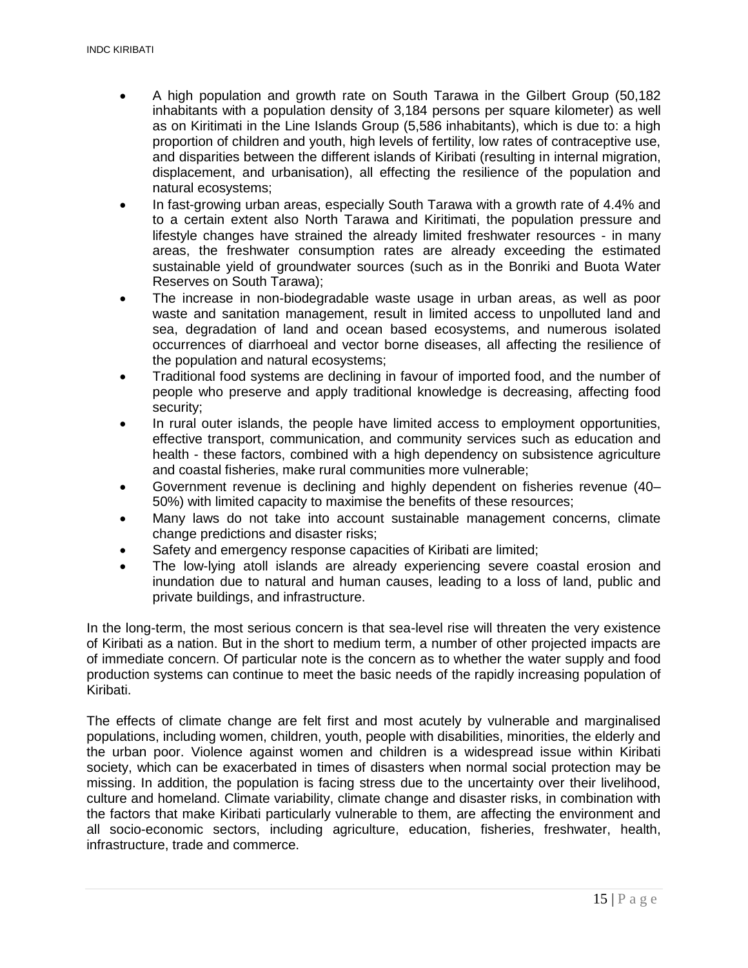- A high population and growth rate on South Tarawa in the Gilbert Group (50,182 inhabitants with a population density of 3,184 persons per square kilometer) as well as on Kiritimati in the Line Islands Group (5,586 inhabitants), which is due to: a high proportion of children and youth, high levels of fertility, low rates of contraceptive use, and disparities between the different islands of Kiribati (resulting in internal migration, displacement, and urbanisation), all effecting the resilience of the population and natural ecosystems;
- In fast-growing urban areas, especially South Tarawa with a growth rate of 4.4% and to a certain extent also North Tarawa and Kiritimati, the population pressure and lifestyle changes have strained the already limited freshwater resources - in many areas, the freshwater consumption rates are already exceeding the estimated sustainable yield of groundwater sources (such as in the Bonriki and Buota Water Reserves on South Tarawa);
- The increase in non-biodegradable waste usage in urban areas, as well as poor waste and sanitation management, result in limited access to unpolluted land and sea, degradation of land and ocean based ecosystems, and numerous isolated occurrences of diarrhoeal and vector borne diseases, all affecting the resilience of the population and natural ecosystems;
- Traditional food systems are declining in favour of imported food, and the number of people who preserve and apply traditional knowledge is decreasing, affecting food security;
- In rural outer islands, the people have limited access to employment opportunities, effective transport, communication, and community services such as education and health - these factors, combined with a high dependency on subsistence agriculture and coastal fisheries, make rural communities more vulnerable;
- Government revenue is declining and highly dependent on fisheries revenue (40– 50%) with limited capacity to maximise the benefits of these resources;
- Many laws do not take into account sustainable management concerns, climate change predictions and disaster risks;
- Safety and emergency response capacities of Kiribati are limited;
- The low-lying atoll islands are already experiencing severe coastal erosion and inundation due to natural and human causes, leading to a loss of land, public and private buildings, and infrastructure.

In the long-term, the most serious concern is that sea-level rise will threaten the very existence of Kiribati as a nation. But in the short to medium term, a number of other projected impacts are of immediate concern. Of particular note is the concern as to whether the water supply and food production systems can continue to meet the basic needs of the rapidly increasing population of Kiribati.

The effects of climate change are felt first and most acutely by vulnerable and marginalised populations, including women, children, youth, people with disabilities, minorities, the elderly and the urban poor. Violence against women and children is a widespread issue within Kiribati society, which can be exacerbated in times of disasters when normal social protection may be missing. In addition, the population is facing stress due to the uncertainty over their livelihood, culture and homeland. Climate variability, climate change and disaster risks, in combination with the factors that make Kiribati particularly vulnerable to them, are affecting the environment and all socio-economic sectors, including agriculture, education, fisheries, freshwater, health, infrastructure, trade and commerce.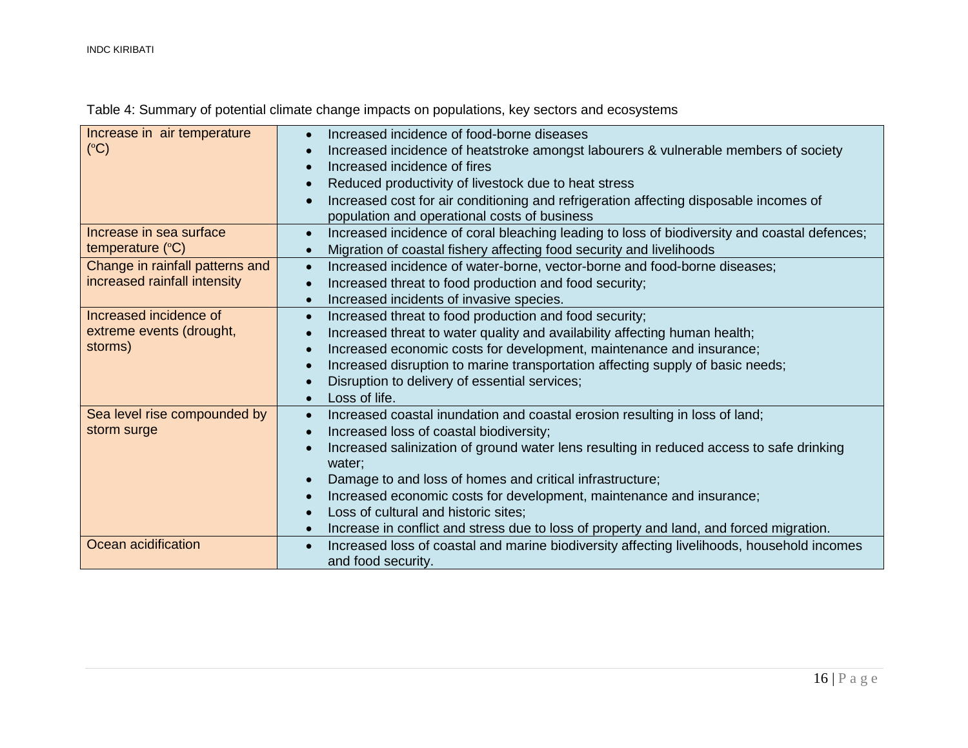| Increase in air temperature     | Increased incidence of food-borne diseases                                                   |
|---------------------------------|----------------------------------------------------------------------------------------------|
| (C)                             | Increased incidence of heatstroke amongst labourers & vulnerable members of society          |
|                                 | Increased incidence of fires                                                                 |
|                                 | Reduced productivity of livestock due to heat stress                                         |
|                                 | Increased cost for air conditioning and refrigeration affecting disposable incomes of        |
|                                 | population and operational costs of business                                                 |
| Increase in sea surface         | Increased incidence of coral bleaching leading to loss of biodiversity and coastal defences; |
| temperature $(^{\circ}C)$       | Migration of coastal fishery affecting food security and livelihoods                         |
| Change in rainfall patterns and | Increased incidence of water-borne, vector-borne and food-borne diseases;                    |
| increased rainfall intensity    | Increased threat to food production and food security;                                       |
|                                 | Increased incidents of invasive species.                                                     |
| Increased incidence of          | Increased threat to food production and food security;                                       |
| extreme events (drought,        | Increased threat to water quality and availability affecting human health;                   |
| storms)                         | Increased economic costs for development, maintenance and insurance;                         |
|                                 | Increased disruption to marine transportation affecting supply of basic needs;               |
|                                 | Disruption to delivery of essential services;                                                |
|                                 | Loss of life.                                                                                |
| Sea level rise compounded by    | Increased coastal inundation and coastal erosion resulting in loss of land;<br>$\bullet$     |
| storm surge                     | Increased loss of coastal biodiversity;                                                      |
|                                 | Increased salinization of ground water lens resulting in reduced access to safe drinking     |
|                                 | water;                                                                                       |
|                                 | Damage to and loss of homes and critical infrastructure;                                     |
|                                 | Increased economic costs for development, maintenance and insurance;                         |
|                                 | Loss of cultural and historic sites;                                                         |
|                                 | Increase in conflict and stress due to loss of property and land, and forced migration.      |
| Ocean acidification             | Increased loss of coastal and marine biodiversity affecting livelihoods, household incomes   |
|                                 | and food security.                                                                           |

# Table 4: Summary of potential climate change impacts on populations, key sectors and ecosystems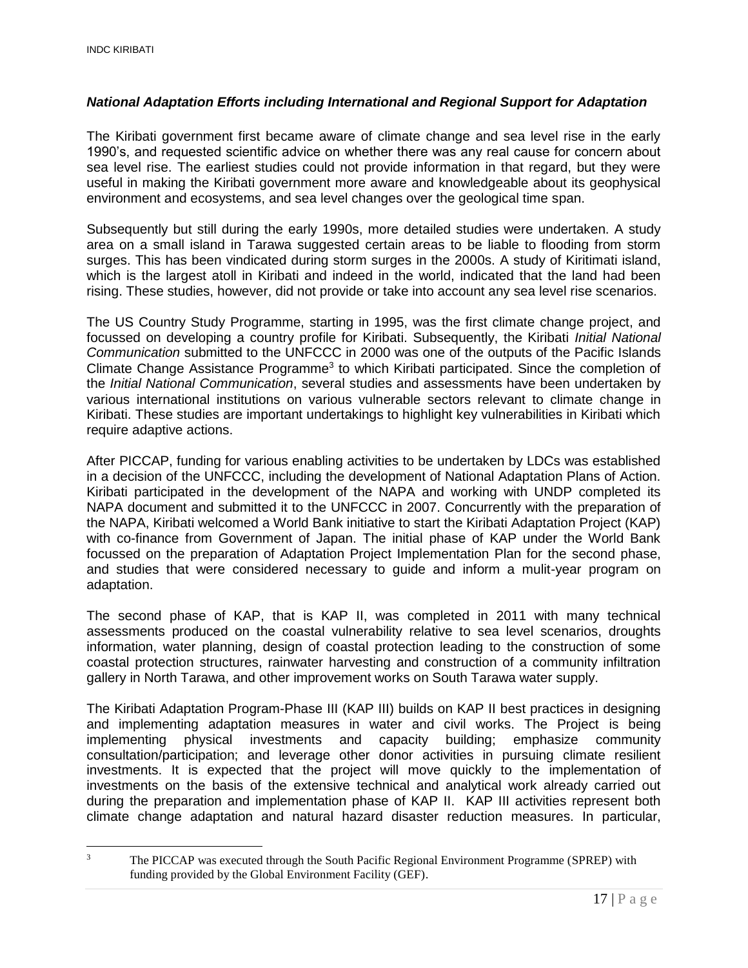#### <span id="page-16-0"></span>*National Adaptation Efforts including International and Regional Support for Adaptation*

The Kiribati government first became aware of climate change and sea level rise in the early 1990's, and requested scientific advice on whether there was any real cause for concern about sea level rise. The earliest studies could not provide information in that regard, but they were useful in making the Kiribati government more aware and knowledgeable about its geophysical environment and ecosystems, and sea level changes over the geological time span.

Subsequently but still during the early 1990s, more detailed studies were undertaken. A study area on a small island in Tarawa suggested certain areas to be liable to flooding from storm surges. This has been vindicated during storm surges in the 2000s. A study of Kiritimati island, which is the largest atoll in Kiribati and indeed in the world, indicated that the land had been rising. These studies, however, did not provide or take into account any sea level rise scenarios.

The US Country Study Programme, starting in 1995, was the first climate change project, and focussed on developing a country profile for Kiribati. Subsequently, the Kiribati *Initial National Communication* submitted to the UNFCCC in 2000 was one of the outputs of the Pacific Islands Climate Change Assistance Programme<sup>3</sup> to which Kiribati participated. Since the completion of the *Initial National Communication*, several studies and assessments have been undertaken by various international institutions on various vulnerable sectors relevant to climate change in Kiribati. These studies are important undertakings to highlight key vulnerabilities in Kiribati which require adaptive actions.

After PICCAP, funding for various enabling activities to be undertaken by LDCs was established in a decision of the UNFCCC, including the development of National Adaptation Plans of Action. Kiribati participated in the development of the NAPA and working with UNDP completed its NAPA document and submitted it to the UNFCCC in 2007. Concurrently with the preparation of the NAPA, Kiribati welcomed a World Bank initiative to start the Kiribati Adaptation Project (KAP) with co-finance from Government of Japan. The initial phase of KAP under the World Bank focussed on the preparation of Adaptation Project Implementation Plan for the second phase, and studies that were considered necessary to guide and inform a mulit-year program on adaptation.

The second phase of KAP, that is KAP II, was completed in 2011 with many technical assessments produced on the coastal vulnerability relative to sea level scenarios, droughts information, water planning, design of coastal protection leading to the construction of some coastal protection structures, rainwater harvesting and construction of a community infiltration gallery in North Tarawa, and other improvement works on South Tarawa water supply.

The Kiribati Adaptation Program-Phase III (KAP III) builds on KAP II best practices in designing and implementing adaptation measures in water and civil works. The Project is being implementing physical investments and capacity building; emphasize community consultation/participation; and leverage other donor activities in pursuing climate resilient investments. It is expected that the project will move quickly to the implementation of investments on the basis of the extensive technical and analytical work already carried out during the preparation and implementation phase of KAP II. KAP III activities represent both climate change adaptation and natural hazard disaster reduction measures. In particular,

 $\overline{a}$ <sup>3</sup> The PICCAP was executed through the South Pacific Regional Environment Programme (SPREP) with funding provided by the Global Environment Facility (GEF).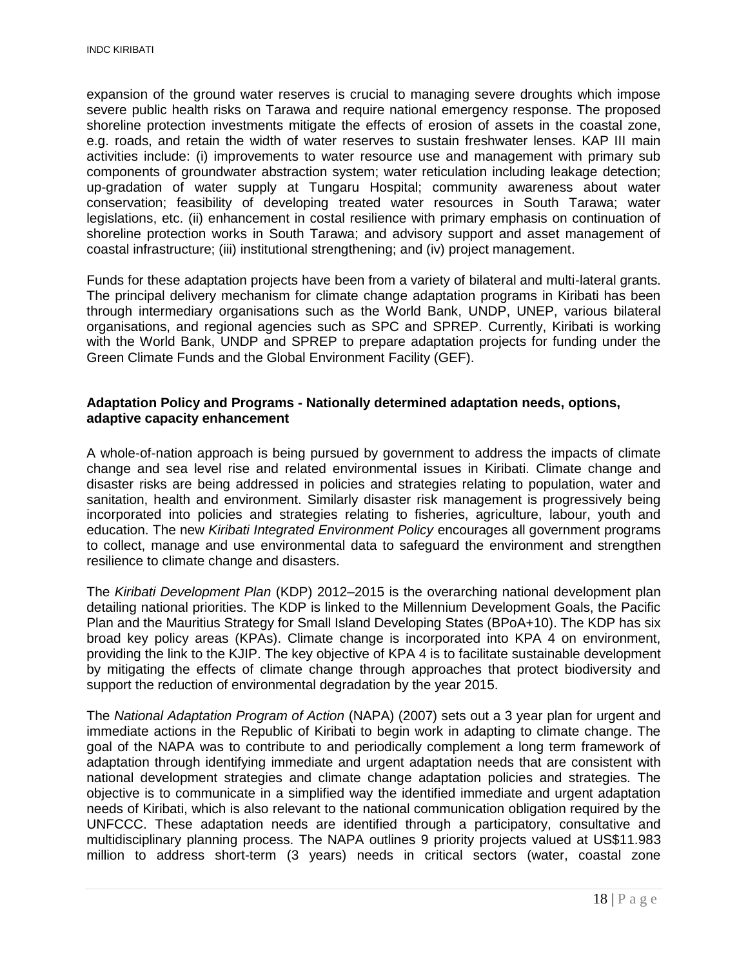expansion of the ground water reserves is crucial to managing severe droughts which impose severe public health risks on Tarawa and require national emergency response. The proposed shoreline protection investments mitigate the effects of erosion of assets in the coastal zone, e.g. roads, and retain the width of water reserves to sustain freshwater lenses. KAP III main activities include: (i) improvements to water resource use and management with primary sub components of groundwater abstraction system; water reticulation including leakage detection; up-gradation of water supply at Tungaru Hospital; community awareness about water conservation; feasibility of developing treated water resources in South Tarawa; water legislations, etc. (ii) enhancement in costal resilience with primary emphasis on continuation of shoreline protection works in South Tarawa; and advisory support and asset management of coastal infrastructure; (iii) institutional strengthening; and (iv) project management.

Funds for these adaptation projects have been from a variety of bilateral and multi-lateral grants. The principal delivery mechanism for climate change adaptation programs in Kiribati has been through intermediary organisations such as the World Bank, UNDP, UNEP, various bilateral organisations, and regional agencies such as SPC and SPREP. Currently, Kiribati is working with the World Bank, UNDP and SPREP to prepare adaptation projects for funding under the Green Climate Funds and the Global Environment Facility (GEF).

#### <span id="page-17-0"></span>**Adaptation Policy and Programs - Nationally determined adaptation needs, options, adaptive capacity enhancement**

A whole-of-nation approach is being pursued by government to address the impacts of climate change and sea level rise and related environmental issues in Kiribati. Climate change and disaster risks are being addressed in policies and strategies relating to population, water and sanitation, health and environment. Similarly disaster risk management is progressively being incorporated into policies and strategies relating to fisheries, agriculture, labour, youth and education. The new *Kiribati Integrated Environment Policy* encourages all government programs to collect, manage and use environmental data to safeguard the environment and strengthen resilience to climate change and disasters.

The *Kiribati Development Plan* (KDP) 2012–2015 is the overarching national development plan detailing national priorities. The KDP is linked to the Millennium Development Goals, the Pacific Plan and the Mauritius Strategy for Small Island Developing States (BPoA+10). The KDP has six broad key policy areas (KPAs). Climate change is incorporated into KPA 4 on environment, providing the link to the KJIP. The key objective of KPA 4 is to facilitate sustainable development by mitigating the effects of climate change through approaches that protect biodiversity and support the reduction of environmental degradation by the year 2015.

The *National Adaptation Program of Action* (NAPA) (2007) sets out a 3 year plan for urgent and immediate actions in the Republic of Kiribati to begin work in adapting to climate change. The goal of the NAPA was to contribute to and periodically complement a long term framework of adaptation through identifying immediate and urgent adaptation needs that are consistent with national development strategies and climate change adaptation policies and strategies. The objective is to communicate in a simplified way the identified immediate and urgent adaptation needs of Kiribati, which is also relevant to the national communication obligation required by the UNFCCC. These adaptation needs are identified through a participatory, consultative and multidisciplinary planning process. The NAPA outlines 9 priority projects valued at US\$11.983 million to address short-term (3 years) needs in critical sectors (water, coastal zone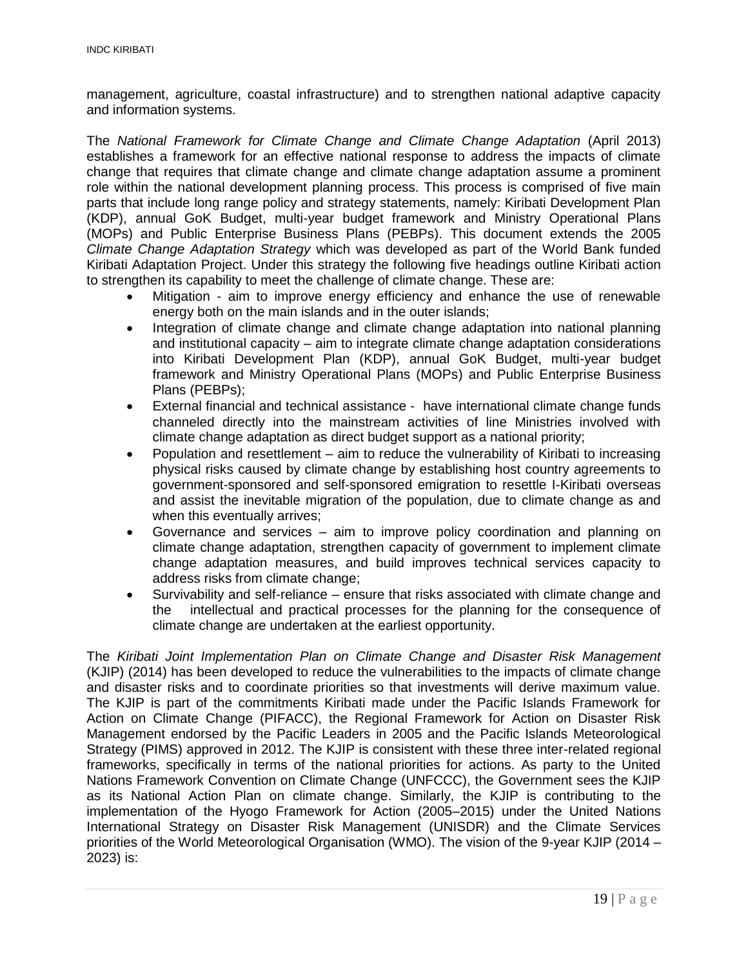management, agriculture, coastal infrastructure) and to strengthen national adaptive capacity and information systems.

The *National Framework for Climate Change and Climate Change Adaptation* (April 2013) establishes a framework for an effective national response to address the impacts of climate change that requires that climate change and climate change adaptation assume a prominent role within the national development planning process. This process is comprised of five main parts that include long range policy and strategy statements, namely: Kiribati Development Plan (KDP), annual GoK Budget, multi-year budget framework and Ministry Operational Plans (MOPs) and Public Enterprise Business Plans (PEBPs). This document extends the 2005 *Climate Change Adaptation Strategy* which was developed as part of the World Bank funded Kiribati Adaptation Project. Under this strategy the following five headings outline Kiribati action to strengthen its capability to meet the challenge of climate change. These are:

- Mitigation aim to improve energy efficiency and enhance the use of renewable energy both on the main islands and in the outer islands;
- Integration of climate change and climate change adaptation into national planning and institutional capacity – aim to integrate climate change adaptation considerations into Kiribati Development Plan (KDP), annual GoK Budget, multi-year budget framework and Ministry Operational Plans (MOPs) and Public Enterprise Business Plans (PEBPs);
- External financial and technical assistance have international climate change funds channeled directly into the mainstream activities of line Ministries involved with climate change adaptation as direct budget support as a national priority;
- Population and resettlement aim to reduce the vulnerability of Kiribati to increasing physical risks caused by climate change by establishing host country agreements to government-sponsored and self-sponsored emigration to resettle I-Kiribati overseas and assist the inevitable migration of the population, due to climate change as and when this eventually arrives;
- Governance and services aim to improve policy coordination and planning on climate change adaptation, strengthen capacity of government to implement climate change adaptation measures, and build improves technical services capacity to address risks from climate change;
- Survivability and self-reliance ensure that risks associated with climate change and the intellectual and practical processes for the planning for the consequence of climate change are undertaken at the earliest opportunity.

The *Kiribati Joint Implementation Plan on Climate Change and Disaster Risk Management* (KJIP) (2014) has been developed to reduce the vulnerabilities to the impacts of climate change and disaster risks and to coordinate priorities so that investments will derive maximum value. The KJIP is part of the commitments Kiribati made under the Pacific Islands Framework for Action on Climate Change (PIFACC), the Regional Framework for Action on Disaster Risk Management endorsed by the Pacific Leaders in 2005 and the Pacific Islands Meteorological Strategy (PIMS) approved in 2012. The KJIP is consistent with these three inter-related regional frameworks, specifically in terms of the national priorities for actions. As party to the United Nations Framework Convention on Climate Change (UNFCCC), the Government sees the KJIP as its National Action Plan on climate change. Similarly, the KJIP is contributing to the implementation of the Hyogo Framework for Action (2005–2015) under the United Nations International Strategy on Disaster Risk Management (UNISDR) and the Climate Services priorities of the World Meteorological Organisation (WMO). The vision of the 9-year KJIP (2014 – 2023) is: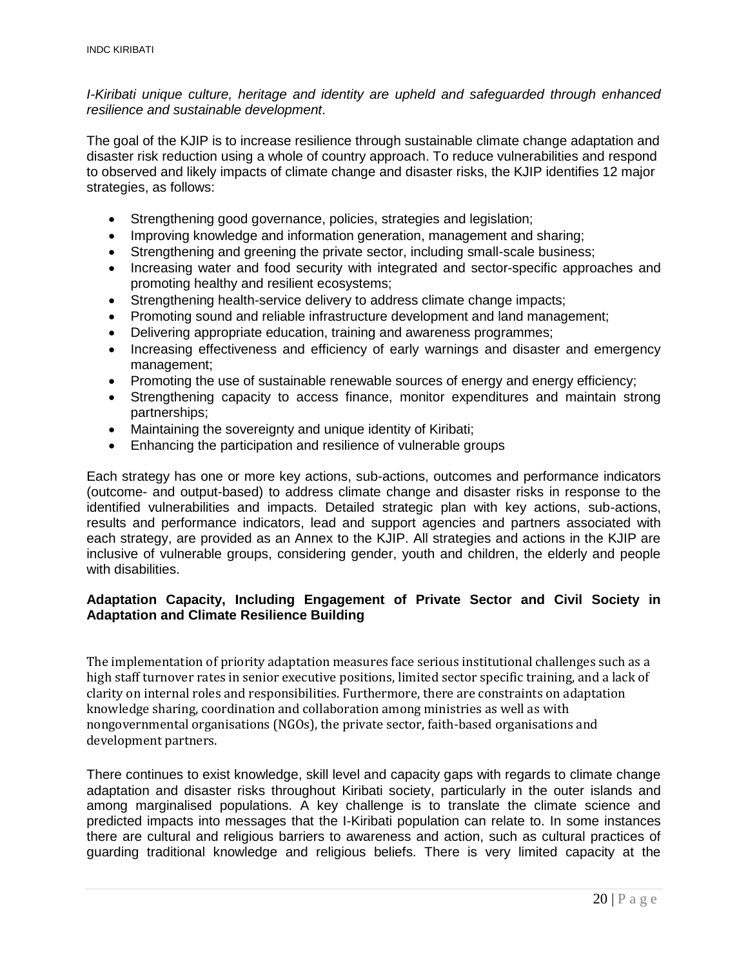*I-Kiribati unique culture, heritage and identity are upheld and safeguarded through enhanced resilience and sustainable development*.

The goal of the KJIP is to increase resilience through sustainable climate change adaptation and disaster risk reduction using a whole of country approach. To reduce vulnerabilities and respond to observed and likely impacts of climate change and disaster risks, the KJIP identifies 12 major strategies, as follows:

- Strengthening good governance, policies, strategies and legislation;
- Improving knowledge and information generation, management and sharing;
- Strengthening and greening the private sector, including small-scale business;
- Increasing water and food security with integrated and sector-specific approaches and promoting healthy and resilient ecosystems;
- Strengthening health-service delivery to address climate change impacts;
- Promoting sound and reliable infrastructure development and land management;
- Delivering appropriate education, training and awareness programmes;
- Increasing effectiveness and efficiency of early warnings and disaster and emergency management;
- Promoting the use of sustainable renewable sources of energy and energy efficiency;
- Strengthening capacity to access finance, monitor expenditures and maintain strong partnerships;
- Maintaining the sovereignty and unique identity of Kiribati;
- Enhancing the participation and resilience of vulnerable groups

Each strategy has one or more key actions, sub-actions, outcomes and performance indicators (outcome- and output-based) to address climate change and disaster risks in response to the identified vulnerabilities and impacts. Detailed strategic plan with key actions, sub-actions, results and performance indicators, lead and support agencies and partners associated with each strategy, are provided as an Annex to the KJIP. All strategies and actions in the KJIP are inclusive of vulnerable groups, considering gender, youth and children, the elderly and people with disabilities.

#### <span id="page-19-0"></span>**Adaptation Capacity, Including Engagement of Private Sector and Civil Society in Adaptation and Climate Resilience Building**

The implementation of priority adaptation measures face serious institutional challenges such as a high staff turnover rates in senior executive positions, limited sector specific training, and a lack of clarity on internal roles and responsibilities. Furthermore, there are constraints on adaptation knowledge sharing, coordination and collaboration among ministries as well as with nongovernmental organisations (NGOs), the private sector, faith-based organisations and development partners.

There continues to exist knowledge, skill level and capacity gaps with regards to climate change adaptation and disaster risks throughout Kiribati society, particularly in the outer islands and among marginalised populations. A key challenge is to translate the climate science and predicted impacts into messages that the I-Kiribati population can relate to. In some instances there are cultural and religious barriers to awareness and action, such as cultural practices of guarding traditional knowledge and religious beliefs. There is very limited capacity at the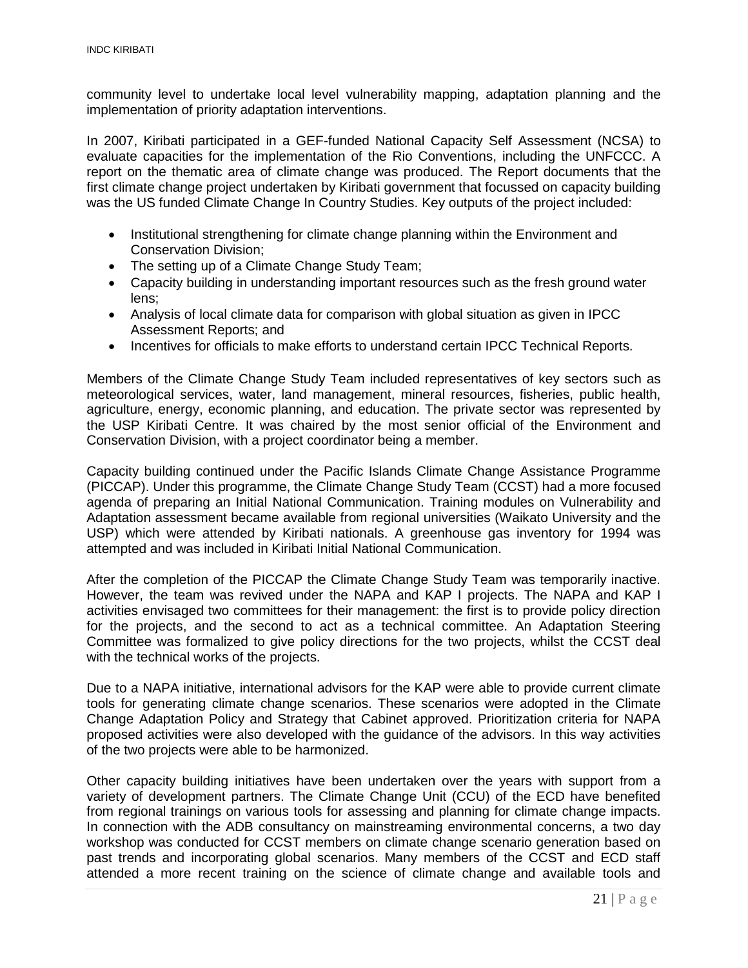community level to undertake local level vulnerability mapping, adaptation planning and the implementation of priority adaptation interventions.

In 2007, Kiribati participated in a GEF-funded National Capacity Self Assessment (NCSA) to evaluate capacities for the implementation of the Rio Conventions, including the UNFCCC. A report on the thematic area of climate change was produced. The Report documents that the first climate change project undertaken by Kiribati government that focussed on capacity building was the US funded Climate Change In Country Studies. Key outputs of the project included:

- Institutional strengthening for climate change planning within the Environment and Conservation Division;
- The setting up of a Climate Change Study Team;
- Capacity building in understanding important resources such as the fresh ground water lens;
- Analysis of local climate data for comparison with global situation as given in IPCC Assessment Reports; and
- Incentives for officials to make efforts to understand certain IPCC Technical Reports.

Members of the Climate Change Study Team included representatives of key sectors such as meteorological services, water, land management, mineral resources, fisheries, public health, agriculture, energy, economic planning, and education. The private sector was represented by the USP Kiribati Centre. It was chaired by the most senior official of the Environment and Conservation Division, with a project coordinator being a member.

Capacity building continued under the Pacific Islands Climate Change Assistance Programme (PICCAP). Under this programme, the Climate Change Study Team (CCST) had a more focused agenda of preparing an Initial National Communication. Training modules on Vulnerability and Adaptation assessment became available from regional universities (Waikato University and the USP) which were attended by Kiribati nationals. A greenhouse gas inventory for 1994 was attempted and was included in Kiribati Initial National Communication.

After the completion of the PICCAP the Climate Change Study Team was temporarily inactive. However, the team was revived under the NAPA and KAP I projects. The NAPA and KAP I activities envisaged two committees for their management: the first is to provide policy direction for the projects, and the second to act as a technical committee. An Adaptation Steering Committee was formalized to give policy directions for the two projects, whilst the CCST deal with the technical works of the projects.

Due to a NAPA initiative, international advisors for the KAP were able to provide current climate tools for generating climate change scenarios. These scenarios were adopted in the Climate Change Adaptation Policy and Strategy that Cabinet approved. Prioritization criteria for NAPA proposed activities were also developed with the guidance of the advisors. In this way activities of the two projects were able to be harmonized.

Other capacity building initiatives have been undertaken over the years with support from a variety of development partners. The Climate Change Unit (CCU) of the ECD have benefited from regional trainings on various tools for assessing and planning for climate change impacts. In connection with the ADB consultancy on mainstreaming environmental concerns, a two day workshop was conducted for CCST members on climate change scenario generation based on past trends and incorporating global scenarios. Many members of the CCST and ECD staff attended a more recent training on the science of climate change and available tools and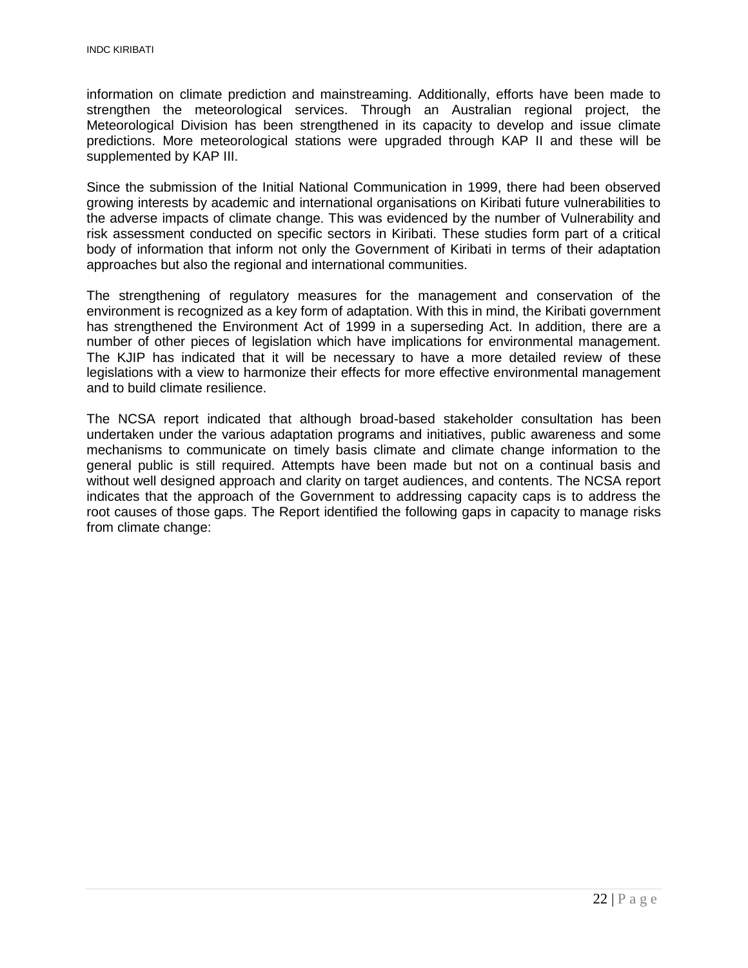information on climate prediction and mainstreaming. Additionally, efforts have been made to strengthen the meteorological services. Through an Australian regional project, the Meteorological Division has been strengthened in its capacity to develop and issue climate predictions. More meteorological stations were upgraded through KAP II and these will be supplemented by KAP III.

Since the submission of the Initial National Communication in 1999, there had been observed growing interests by academic and international organisations on Kiribati future vulnerabilities to the adverse impacts of climate change. This was evidenced by the number of Vulnerability and risk assessment conducted on specific sectors in Kiribati. These studies form part of a critical body of information that inform not only the Government of Kiribati in terms of their adaptation approaches but also the regional and international communities.

The strengthening of regulatory measures for the management and conservation of the environment is recognized as a key form of adaptation. With this in mind, the Kiribati government has strengthened the Environment Act of 1999 in a superseding Act. In addition, there are a number of other pieces of legislation which have implications for environmental management. The KJIP has indicated that it will be necessary to have a more detailed review of these legislations with a view to harmonize their effects for more effective environmental management and to build climate resilience.

The NCSA report indicated that although broad-based stakeholder consultation has been undertaken under the various adaptation programs and initiatives, public awareness and some mechanisms to communicate on timely basis climate and climate change information to the general public is still required. Attempts have been made but not on a continual basis and without well designed approach and clarity on target audiences, and contents. The NCSA report indicates that the approach of the Government to addressing capacity caps is to address the root causes of those gaps. The Report identified the following gaps in capacity to manage risks from climate change: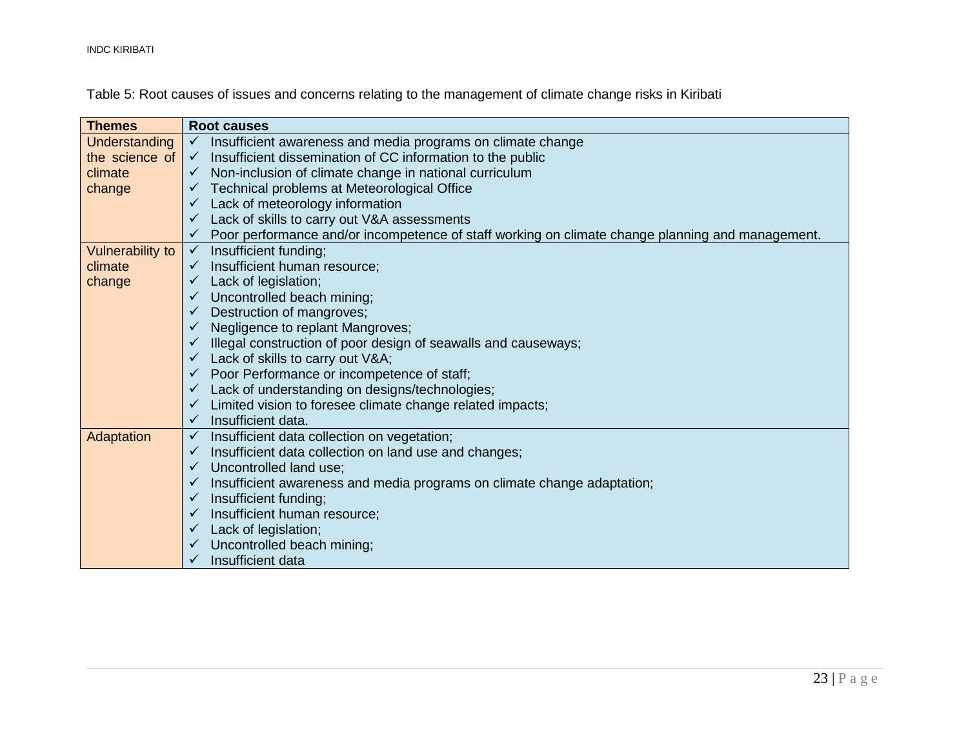INDC KIRIBATI

Table 5: Root causes of issues and concerns relating to the management of climate change risks in Kiribati

| <b>Themes</b>           | <b>Root causes</b>                                                                               |
|-------------------------|--------------------------------------------------------------------------------------------------|
| <b>Understanding</b>    | Insufficient awareness and media programs on climate change<br>$\checkmark$                      |
| the science of          | Insufficient dissemination of CC information to the public<br>$\checkmark$                       |
| climate                 | Non-inclusion of climate change in national curriculum                                           |
| change                  | Technical problems at Meteorological Office                                                      |
|                         | Lack of meteorology information                                                                  |
|                         | Lack of skills to carry out V&A assessments                                                      |
|                         | Poor performance and/or incompetence of staff working on climate change planning and management. |
| <b>Vulnerability to</b> | Insufficient funding;<br>$\checkmark$                                                            |
| climate                 | Insufficient human resource;                                                                     |
| change                  | Lack of legislation;                                                                             |
|                         | Uncontrolled beach mining;                                                                       |
|                         | Destruction of mangroves;                                                                        |
|                         | Negligence to replant Mangroves;                                                                 |
|                         | Illegal construction of poor design of seawalls and causeways;                                   |
|                         | Lack of skills to carry out V&A                                                                  |
|                         | Poor Performance or incompetence of staff;<br>$\checkmark$                                       |
|                         | Lack of understanding on designs/technologies;<br>$\checkmark$                                   |
|                         | Limited vision to foresee climate change related impacts;<br>$\checkmark$                        |
|                         | Insufficient data.<br>$\checkmark$                                                               |
| Adaptation              | Insufficient data collection on vegetation;<br>$\checkmark$                                      |
|                         | Insufficient data collection on land use and changes;                                            |
|                         | Uncontrolled land use;                                                                           |
|                         | Insufficient awareness and media programs on climate change adaptation;<br>$\checkmark$          |
|                         | Insufficient funding;<br>$\checkmark$                                                            |
|                         | Insufficient human resource;<br>$\checkmark$                                                     |
|                         | Lack of legislation;<br>$\checkmark$                                                             |
|                         | Uncontrolled beach mining;                                                                       |
|                         | Insufficient data                                                                                |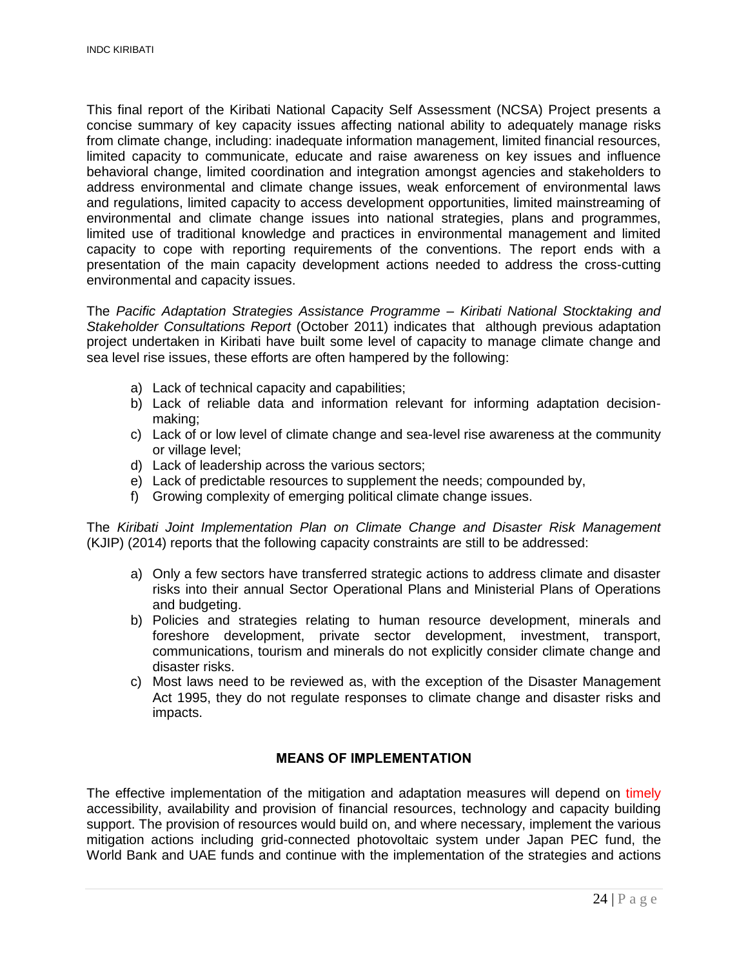This final report of the Kiribati National Capacity Self Assessment (NCSA) Project presents a concise summary of key capacity issues affecting national ability to adequately manage risks from climate change, including: inadequate information management, limited financial resources, limited capacity to communicate, educate and raise awareness on key issues and influence behavioral change, limited coordination and integration amongst agencies and stakeholders to address environmental and climate change issues, weak enforcement of environmental laws and regulations, limited capacity to access development opportunities, limited mainstreaming of environmental and climate change issues into national strategies, plans and programmes, limited use of traditional knowledge and practices in environmental management and limited capacity to cope with reporting requirements of the conventions. The report ends with a presentation of the main capacity development actions needed to address the cross-cutting environmental and capacity issues.

The *Pacific Adaptation Strategies Assistance Programme – Kiribati National Stocktaking and Stakeholder Consultations Report* (October 2011) indicates that although previous adaptation project undertaken in Kiribati have built some level of capacity to manage climate change and sea level rise issues, these efforts are often hampered by the following:

- a) Lack of technical capacity and capabilities;
- b) Lack of reliable data and information relevant for informing adaptation decisionmaking;
- c) Lack of or low level of climate change and sea-level rise awareness at the community or village level;
- d) Lack of leadership across the various sectors;
- e) Lack of predictable resources to supplement the needs; compounded by,
- f) Growing complexity of emerging political climate change issues.

The *Kiribati Joint Implementation Plan on Climate Change and Disaster Risk Management* (KJIP) (2014) reports that the following capacity constraints are still to be addressed:

- a) Only a few sectors have transferred strategic actions to address climate and disaster risks into their annual Sector Operational Plans and Ministerial Plans of Operations and budgeting.
- b) Policies and strategies relating to human resource development, minerals and foreshore development, private sector development, investment, transport, communications, tourism and minerals do not explicitly consider climate change and disaster risks.
- c) Most laws need to be reviewed as, with the exception of the Disaster Management Act 1995, they do not regulate responses to climate change and disaster risks and impacts.

#### **MEANS OF IMPLEMENTATION**

<span id="page-23-0"></span>The effective implementation of the mitigation and adaptation measures will depend on timely accessibility, availability and provision of financial resources, technology and capacity building support. The provision of resources would build on, and where necessary, implement the various mitigation actions including grid-connected photovoltaic system under Japan PEC fund, the World Bank and UAE funds and continue with the implementation of the strategies and actions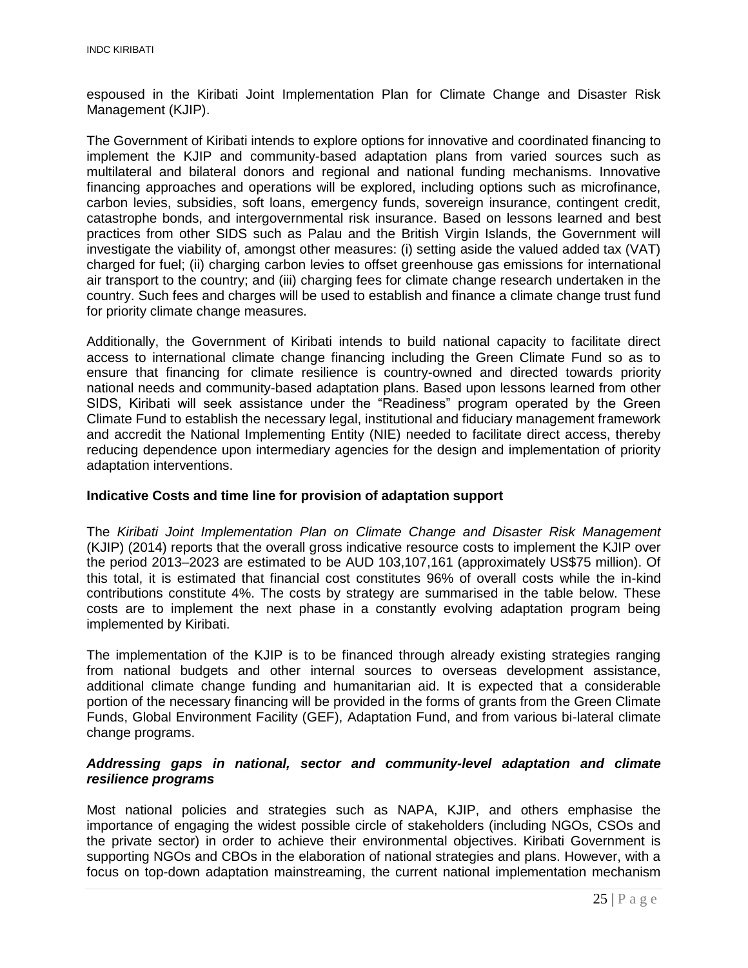espoused in the Kiribati Joint Implementation Plan for Climate Change and Disaster Risk Management (KJIP).

The Government of Kiribati intends to explore options for innovative and coordinated financing to implement the KJIP and community-based adaptation plans from varied sources such as multilateral and bilateral donors and regional and national funding mechanisms. Innovative financing approaches and operations will be explored, including options such as microfinance, carbon levies, subsidies, soft loans, emergency funds, sovereign insurance, contingent credit, catastrophe bonds, and intergovernmental risk insurance. Based on lessons learned and best practices from other SIDS such as Palau and the British Virgin Islands, the Government will investigate the viability of, amongst other measures: (i) setting aside the valued added tax (VAT) charged for fuel; (ii) charging carbon levies to offset greenhouse gas emissions for international air transport to the country; and (iii) charging fees for climate change research undertaken in the country. Such fees and charges will be used to establish and finance a climate change trust fund for priority climate change measures.

Additionally, the Government of Kiribati intends to build national capacity to facilitate direct access to international climate change financing including the Green Climate Fund so as to ensure that financing for climate resilience is country-owned and directed towards priority national needs and community-based adaptation plans. Based upon lessons learned from other SIDS, Kiribati will seek assistance under the "Readiness" program operated by the Green Climate Fund to establish the necessary legal, institutional and fiduciary management framework and accredit the National Implementing Entity (NIE) needed to facilitate direct access, thereby reducing dependence upon intermediary agencies for the design and implementation of priority adaptation interventions.

#### <span id="page-24-0"></span>**Indicative Costs and time line for provision of adaptation support**

The *Kiribati Joint Implementation Plan on Climate Change and Disaster Risk Management* (KJIP) (2014) reports that the overall gross indicative resource costs to implement the KJIP over the period 2013–2023 are estimated to be AUD 103,107,161 (approximately US\$75 million). Of this total, it is estimated that financial cost constitutes 96% of overall costs while the in-kind contributions constitute 4%. The costs by strategy are summarised in the table below. These costs are to implement the next phase in a constantly evolving adaptation program being implemented by Kiribati.

The implementation of the KJIP is to be financed through already existing strategies ranging from national budgets and other internal sources to overseas development assistance, additional climate change funding and humanitarian aid. It is expected that a considerable portion of the necessary financing will be provided in the forms of grants from the Green Climate Funds, Global Environment Facility (GEF), Adaptation Fund, and from various bi-lateral climate change programs.

#### <span id="page-24-1"></span>*Addressing gaps in national, sector and community-level adaptation and climate resilience programs*

Most national policies and strategies such as NAPA, KJIP, and others emphasise the importance of engaging the widest possible circle of stakeholders (including NGOs, CSOs and the private sector) in order to achieve their environmental objectives. Kiribati Government is supporting NGOs and CBOs in the elaboration of national strategies and plans. However, with a focus on top-down adaptation mainstreaming, the current national implementation mechanism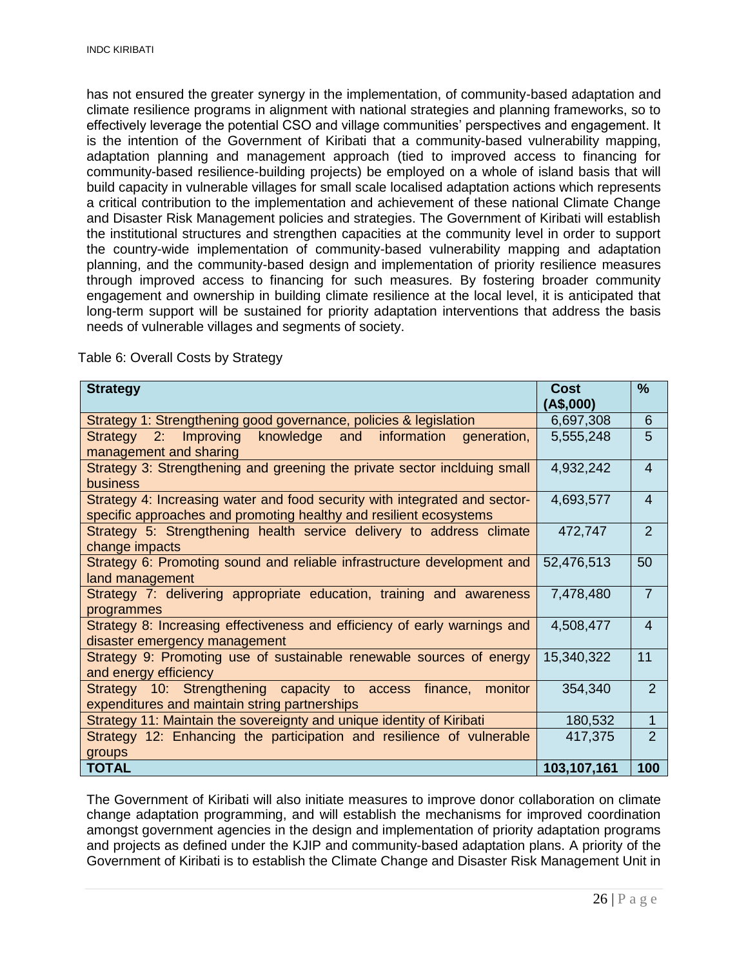has not ensured the greater synergy in the implementation, of community-based adaptation and climate resilience programs in alignment with national strategies and planning frameworks, so to effectively leverage the potential CSO and village communities' perspectives and engagement. It is the intention of the Government of Kiribati that a community-based vulnerability mapping, adaptation planning and management approach (tied to improved access to financing for community-based resilience-building projects) be employed on a whole of island basis that will build capacity in vulnerable villages for small scale localised adaptation actions which represents a critical contribution to the implementation and achievement of these national Climate Change and Disaster Risk Management policies and strategies. The Government of Kiribati will establish the institutional structures and strengthen capacities at the community level in order to support the country-wide implementation of community-based vulnerability mapping and adaptation planning, and the community-based design and implementation of priority resilience measures through improved access to financing for such measures. By fostering broader community engagement and ownership in building climate resilience at the local level, it is anticipated that long-term support will be sustained for priority adaptation interventions that address the basis needs of vulnerable villages and segments of society.

| <b>Strategy</b>                                                                                                                                  | <b>Cost</b><br>(A\$,000) | $\frac{9}{6}$  |
|--------------------------------------------------------------------------------------------------------------------------------------------------|--------------------------|----------------|
| Strategy 1: Strengthening good governance, policies & legislation                                                                                | 6,697,308                | 6              |
| Strategy 2: Improving<br>knowledge and<br>information generation,<br>management and sharing                                                      | 5,555,248                | 5              |
| Strategy 3: Strengthening and greening the private sector inclduing small<br><b>business</b>                                                     | 4,932,242                | $\overline{4}$ |
| Strategy 4: Increasing water and food security with integrated and sector-<br>specific approaches and promoting healthy and resilient ecosystems | 4,693,577                | 4              |
| Strategy 5: Strengthening health service delivery to address climate<br>change impacts                                                           | 472,747                  | 2              |
| Strategy 6: Promoting sound and reliable infrastructure development and<br>land management                                                       | 52,476,513               | 50             |
| Strategy 7: delivering appropriate education, training and awareness<br>programmes                                                               | 7,478,480                | $\overline{7}$ |
| Strategy 8: Increasing effectiveness and efficiency of early warnings and<br>disaster emergency management                                       | 4,508,477                | $\overline{4}$ |
| Strategy 9: Promoting use of sustainable renewable sources of energy<br>and energy efficiency                                                    | 15,340,322               | 11             |
| Strategy 10: Strengthening capacity to access<br>finance,<br>monitor<br>expenditures and maintain string partnerships                            | 354,340                  | 2              |
| Strategy 11: Maintain the sovereignty and unique identity of Kiribati                                                                            | 180,532                  | 1              |
| Strategy 12: Enhancing the participation and resilience of vulnerable<br>groups                                                                  | 417,375                  | $\mathcal{P}$  |
| <b>TOTAL</b>                                                                                                                                     | 103,107,161              | 100            |

Table 6: Overall Costs by Strategy

The Government of Kiribati will also initiate measures to improve donor collaboration on climate change adaptation programming, and will establish the mechanisms for improved coordination amongst government agencies in the design and implementation of priority adaptation programs and projects as defined under the KJIP and community-based adaptation plans. A priority of the Government of Kiribati is to establish the Climate Change and Disaster Risk Management Unit in